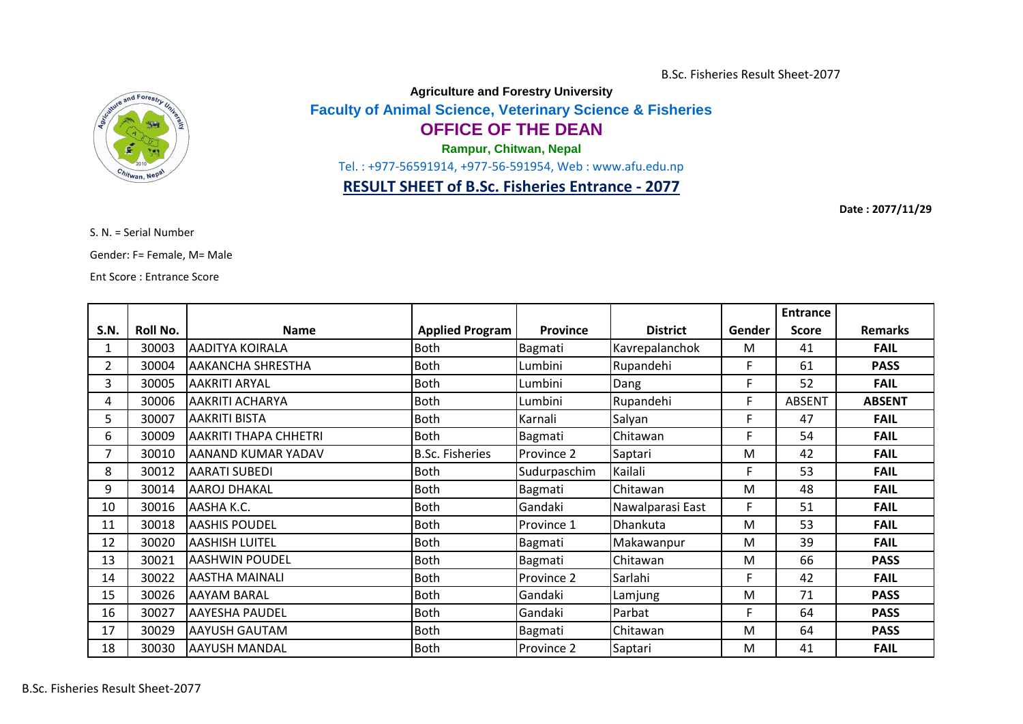B.Sc. Fisheries Result Sheet-2077



**Agriculture and Forestry University**

**Faculty of Animal Science, Veterinary Science & Fisheries**

## **OFFICE OF THE DEAN**

**Rampur, Chitwan, Nepal**

Tel. : +977-56591914, +977-56-591954, Web : www.afu.edu.np

## **RESULT SHEET of B.Sc. Fisheries Entrance - 2077**

**Date : 2077/11/29**

S. N. = Serial Number

Gender: F= Female, M= Male

Ent Score : Entrance Score

|      |          |                              |                        |                 |                  |        | <b>Entrance</b> |                |
|------|----------|------------------------------|------------------------|-----------------|------------------|--------|-----------------|----------------|
| S.N. | Roll No. | <b>Name</b>                  | <b>Applied Program</b> | <b>Province</b> | <b>District</b>  | Gender | <b>Score</b>    | <b>Remarks</b> |
| 1    | 30003    | <b>AADITYA KOIRALA</b>       | <b>Both</b>            | Bagmati         | Kavrepalanchok   | M      | 41              | <b>FAIL</b>    |
| 2    | 30004    | <b>AAKANCHA SHRESTHA</b>     | <b>Both</b>            | Lumbini         | Rupandehi        | F      | 61              | <b>PASS</b>    |
| 3    | 30005    | <b>AAKRITI ARYAL</b>         | <b>Both</b>            | Lumbini         | Dang             | F      | 52              | <b>FAIL</b>    |
| 4    | 30006    | <b>AAKRITI ACHARYA</b>       | <b>Both</b>            | Lumbini         | Rupandehi        | F      | <b>ABSENT</b>   | <b>ABSENT</b>  |
| 5    | 30007    | <b>AAKRITI BISTA</b>         | <b>Both</b>            | Karnali         | Salyan           | F      | 47              | <b>FAIL</b>    |
| 6    | 30009    | <b>AAKRITI THAPA CHHETRI</b> | <b>Both</b>            | Bagmati         | Chitawan         | F      | 54              | <b>FAIL</b>    |
|      | 30010    | AANAND KUMAR YADAV           | <b>B.Sc. Fisheries</b> | Province 2      | Saptari          | M      | 42              | <b>FAIL</b>    |
| 8    | 30012    | <b>AARATI SUBEDI</b>         | <b>Both</b>            | Sudurpaschim    | Kailali          | F      | 53              | <b>FAIL</b>    |
| 9    | 30014    | <b>AAROJ DHAKAL</b>          | Both                   | Bagmati         | Chitawan         | M      | 48              | <b>FAIL</b>    |
| 10   | 30016    | AASHA K.C.                   | Both                   | Gandaki         | Nawalparasi East | F      | 51              | <b>FAIL</b>    |
| 11   | 30018    | <b>AASHIS POUDEL</b>         | <b>Both</b>            | Province 1      | Dhankuta         | M      | 53              | <b>FAIL</b>    |
| 12   | 30020    | <b>AASHISH LUITEL</b>        | <b>Both</b>            | Bagmati         | Makawanpur       | M      | 39              | <b>FAIL</b>    |
| 13   | 30021    | <b>AASHWIN POUDEL</b>        | <b>Both</b>            | Bagmati         | Chitawan         | M      | 66              | <b>PASS</b>    |
| 14   | 30022    | <b>AASTHA MAINALI</b>        | <b>Both</b>            | Province 2      | Sarlahi          | F      | 42              | <b>FAIL</b>    |
| 15   | 30026    | <b>AAYAM BARAL</b>           | <b>Both</b>            | Gandaki         | Lamjung          | M      | 71              | <b>PASS</b>    |
| 16   | 30027    | <b>AAYESHA PAUDEL</b>        | <b>Both</b>            | Gandaki         | Parbat           | F      | 64              | <b>PASS</b>    |
| 17   | 30029    | <b>AAYUSH GAUTAM</b>         | <b>Both</b>            | Bagmati         | Chitawan         | M      | 64              | <b>PASS</b>    |
| 18   | 30030    | <b>AAYUSH MANDAL</b>         | Both                   | Province 2      | Saptari          | M      | 41              | <b>FAIL</b>    |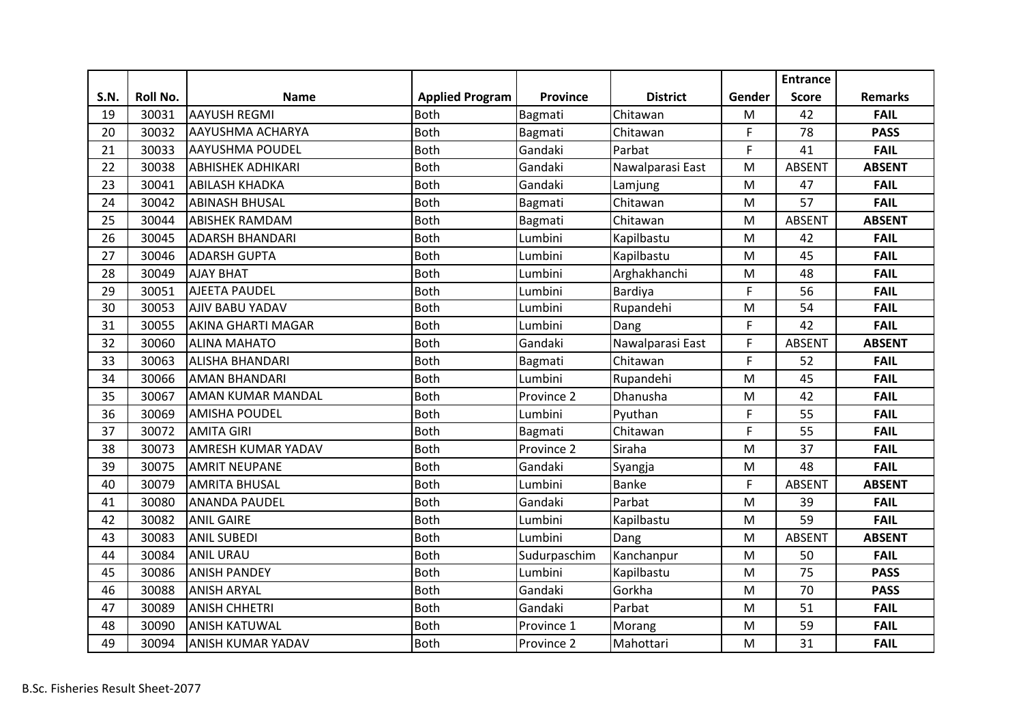|             |          |                           |                        |                 |                  |        | <b>Entrance</b> |                |
|-------------|----------|---------------------------|------------------------|-----------------|------------------|--------|-----------------|----------------|
| <b>S.N.</b> | Roll No. | <b>Name</b>               | <b>Applied Program</b> | <b>Province</b> | <b>District</b>  | Gender | <b>Score</b>    | <b>Remarks</b> |
| 19          | 30031    | <b>AAYUSH REGMI</b>       | <b>Both</b>            | Bagmati         | Chitawan         | M      | 42              | <b>FAIL</b>    |
| 20          | 30032    | <b>AAYUSHMA ACHARYA</b>   | <b>Both</b>            | Bagmati         | Chitawan         | F      | 78              | <b>PASS</b>    |
| 21          | 30033    | <b>AAYUSHMA POUDEL</b>    | <b>Both</b>            | Gandaki         | Parbat           | F      | 41              | <b>FAIL</b>    |
| 22          | 30038    | <b>ABHISHEK ADHIKARI</b>  | <b>Both</b>            | Gandaki         | Nawalparasi East | M      | <b>ABSENT</b>   | <b>ABSENT</b>  |
| 23          | 30041    | <b>ABILASH KHADKA</b>     | <b>Both</b>            | Gandaki         | Lamjung          | M      | 47              | <b>FAIL</b>    |
| 24          | 30042    | <b>ABINASH BHUSAL</b>     | <b>Both</b>            | Bagmati         | Chitawan         | M      | 57              | <b>FAIL</b>    |
| 25          | 30044    | <b>ABISHEK RAMDAM</b>     | <b>Both</b>            | Bagmati         | Chitawan         | M      | <b>ABSENT</b>   | <b>ABSENT</b>  |
| 26          | 30045    | <b>ADARSH BHANDARI</b>    | <b>Both</b>            | Lumbini         | Kapilbastu       | M      | 42              | <b>FAIL</b>    |
| 27          | 30046    | <b>ADARSH GUPTA</b>       | <b>Both</b>            | Lumbini         | Kapilbastu       | M      | 45              | <b>FAIL</b>    |
| 28          | 30049    | <b>AJAY BHAT</b>          | <b>Both</b>            | Lumbini         | Arghakhanchi     | M      | 48              | <b>FAIL</b>    |
| 29          | 30051    | <b>AJEETA PAUDEL</b>      | <b>Both</b>            | Lumbini         | Bardiya          | F      | 56              | <b>FAIL</b>    |
| 30          | 30053    | AJIV BABU YADAV           | <b>Both</b>            | Lumbini         | Rupandehi        | M      | 54              | <b>FAIL</b>    |
| 31          | 30055    | <b>AKINA GHARTI MAGAR</b> | <b>Both</b>            | Lumbini         | Dang             | F      | 42              | <b>FAIL</b>    |
| 32          | 30060    | <b>ALINA MAHATO</b>       | <b>Both</b>            | Gandaki         | Nawalparasi East | F      | <b>ABSENT</b>   | <b>ABSENT</b>  |
| 33          | 30063    | <b>ALISHA BHANDARI</b>    | <b>Both</b>            | Bagmati         | Chitawan         | F      | 52              | <b>FAIL</b>    |
| 34          | 30066    | <b>AMAN BHANDARI</b>      | <b>Both</b>            | Lumbini         | Rupandehi        | M      | 45              | <b>FAIL</b>    |
| 35          | 30067    | <b>AMAN KUMAR MANDAL</b>  | <b>Both</b>            | Province 2      | Dhanusha         | M      | 42              | <b>FAIL</b>    |
| 36          | 30069    | <b>AMISHA POUDEL</b>      | <b>Both</b>            | Lumbini         | Pyuthan          | F      | 55              | <b>FAIL</b>    |
| 37          | 30072    | <b>AMITA GIRI</b>         | <b>Both</b>            | Bagmati         | Chitawan         | F      | 55              | <b>FAIL</b>    |
| 38          | 30073    | <b>AMRESH KUMAR YADAV</b> | <b>Both</b>            | Province 2      | Siraha           | M      | 37              | <b>FAIL</b>    |
| 39          | 30075    | <b>AMRIT NEUPANE</b>      | <b>Both</b>            | Gandaki         | Syangja          | M      | 48              | <b>FAIL</b>    |
| 40          | 30079    | <b>AMRITA BHUSAL</b>      | <b>Both</b>            | Lumbini         | <b>Banke</b>     | F      | <b>ABSENT</b>   | <b>ABSENT</b>  |
| 41          | 30080    | <b>ANANDA PAUDEL</b>      | <b>Both</b>            | Gandaki         | Parbat           | M      | 39              | <b>FAIL</b>    |
| 42          | 30082    | <b>ANIL GAIRE</b>         | <b>Both</b>            | Lumbini         | Kapilbastu       | M      | 59              | <b>FAIL</b>    |
| 43          | 30083    | <b>ANIL SUBEDI</b>        | <b>Both</b>            | Lumbini         | Dang             | M      | <b>ABSENT</b>   | <b>ABSENT</b>  |
| 44          | 30084    | <b>ANIL URAU</b>          | <b>Both</b>            | Sudurpaschim    | Kanchanpur       | M      | 50              | <b>FAIL</b>    |
| 45          | 30086    | <b>ANISH PANDEY</b>       | <b>Both</b>            | Lumbini         | Kapilbastu       | M      | 75              | <b>PASS</b>    |
| 46          | 30088    | <b>ANISH ARYAL</b>        | <b>Both</b>            | Gandaki         | Gorkha           | M      | 70              | <b>PASS</b>    |
| 47          | 30089    | <b>ANISH CHHETRI</b>      | <b>Both</b>            | Gandaki         | Parbat           | M      | 51              | <b>FAIL</b>    |
| 48          | 30090    | <b>ANISH KATUWAL</b>      | <b>Both</b>            | Province 1      | Morang           | M      | 59              | <b>FAIL</b>    |
| 49          | 30094    | <b>ANISH KUMAR YADAV</b>  | <b>Both</b>            | Province 2      | Mahottari        | M      | 31              | <b>FAIL</b>    |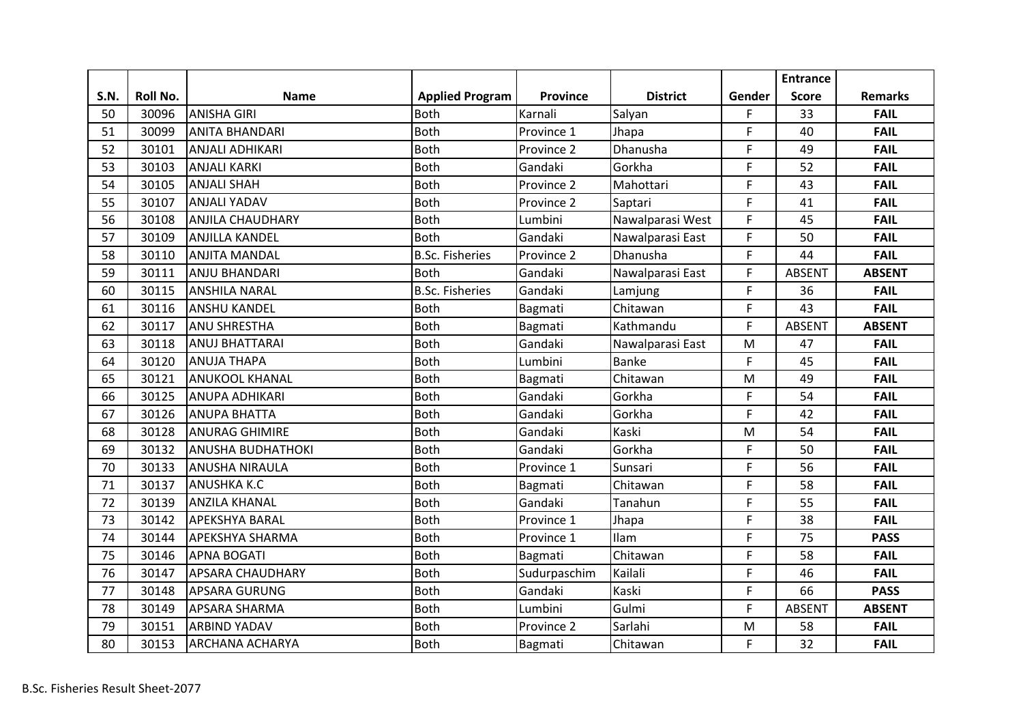|      |          |                          |                        |                 |                  |           | <b>Entrance</b> |                |
|------|----------|--------------------------|------------------------|-----------------|------------------|-----------|-----------------|----------------|
| S.N. | Roll No. | <b>Name</b>              | <b>Applied Program</b> | <b>Province</b> | <b>District</b>  | Gender    | <b>Score</b>    | <b>Remarks</b> |
| 50   | 30096    | <b>ANISHA GIRI</b>       | <b>Both</b>            | Karnali         | Salyan           | F.        | 33              | <b>FAIL</b>    |
| 51   | 30099    | <b>ANITA BHANDARI</b>    | <b>Both</b>            | Province 1      | Jhapa            | F.        | 40              | <b>FAIL</b>    |
| 52   | 30101    | <b>ANJALI ADHIKARI</b>   | <b>Both</b>            | Province 2      | Dhanusha         | F         | 49              | <b>FAIL</b>    |
| 53   | 30103    | <b>ANJALI KARKI</b>      | <b>Both</b>            | Gandaki         | Gorkha           | F         | 52              | <b>FAIL</b>    |
| 54   | 30105    | <b>ANJALI SHAH</b>       | <b>Both</b>            | Province 2      | Mahottari        | F         | 43              | <b>FAIL</b>    |
| 55   | 30107    | <b>ANJALI YADAV</b>      | <b>Both</b>            | Province 2      | Saptari          | F         | 41              | <b>FAIL</b>    |
| 56   | 30108    | <b>ANJILA CHAUDHARY</b>  | <b>Both</b>            | Lumbini         | Nawalparasi West | F         | 45              | <b>FAIL</b>    |
| 57   | 30109    | <b>ANJILLA KANDEL</b>    | <b>Both</b>            | Gandaki         | Nawalparasi East | F         | 50              | <b>FAIL</b>    |
| 58   | 30110    | <b>ANJITA MANDAL</b>     | <b>B.Sc. Fisheries</b> | Province 2      | Dhanusha         | F         | 44              | <b>FAIL</b>    |
| 59   | 30111    | <b>ANJU BHANDARI</b>     | <b>Both</b>            | Gandaki         | Nawalparasi East | F         | <b>ABSENT</b>   | <b>ABSENT</b>  |
| 60   | 30115    | <b>ANSHILA NARAL</b>     | <b>B.Sc. Fisheries</b> | Gandaki         | Lamjung          | F         | 36              | <b>FAIL</b>    |
| 61   | 30116    | <b>ANSHU KANDEL</b>      | <b>Both</b>            | Bagmati         | Chitawan         | F         | 43              | <b>FAIL</b>    |
| 62   | 30117    | <b>ANU SHRESTHA</b>      | <b>Both</b>            | Bagmati         | Kathmandu        | F         | <b>ABSENT</b>   | <b>ABSENT</b>  |
| 63   | 30118    | <b>ANUJ BHATTARAI</b>    | <b>Both</b>            | Gandaki         | Nawalparasi East | M         | 47              | <b>FAIL</b>    |
| 64   | 30120    | <b>ANUJA THAPA</b>       | <b>Both</b>            | Lumbini         | <b>Banke</b>     | F         | 45              | <b>FAIL</b>    |
| 65   | 30121    | <b>ANUKOOL KHANAL</b>    | <b>Both</b>            | Bagmati         | Chitawan         | ${\sf M}$ | 49              | <b>FAIL</b>    |
| 66   | 30125    | <b>ANUPA ADHIKARI</b>    | <b>Both</b>            | Gandaki         | Gorkha           | F         | 54              | <b>FAIL</b>    |
| 67   | 30126    | <b>ANUPA BHATTA</b>      | <b>Both</b>            | Gandaki         | Gorkha           | F         | 42              | <b>FAIL</b>    |
| 68   | 30128    | <b>ANURAG GHIMIRE</b>    | <b>Both</b>            | Gandaki         | Kaski            | M         | 54              | <b>FAIL</b>    |
| 69   | 30132    | <b>ANUSHA BUDHATHOKI</b> | <b>Both</b>            | Gandaki         | Gorkha           | F         | 50              | <b>FAIL</b>    |
| 70   | 30133    | <b>ANUSHA NIRAULA</b>    | <b>Both</b>            | Province 1      | Sunsari          | F.        | 56              | <b>FAIL</b>    |
| 71   | 30137    | <b>ANUSHKA K.C</b>       | <b>Both</b>            | Bagmati         | Chitawan         | F         | 58              | <b>FAIL</b>    |
| 72   | 30139    | <b>ANZILA KHANAL</b>     | <b>Both</b>            | Gandaki         | Tanahun          | F         | 55              | <b>FAIL</b>    |
| 73   | 30142    | <b>APEKSHYA BARAL</b>    | <b>Both</b>            | Province 1      | Jhapa            | F         | 38              | <b>FAIL</b>    |
| 74   | 30144    | <b>APEKSHYA SHARMA</b>   | <b>Both</b>            | Province 1      | <b>Ilam</b>      | F         | 75              | <b>PASS</b>    |
| 75   | 30146    | <b>APNA BOGATI</b>       | <b>Both</b>            | Bagmati         | Chitawan         | F         | 58              | <b>FAIL</b>    |
| 76   | 30147    | <b>APSARA CHAUDHARY</b>  | <b>Both</b>            | Sudurpaschim    | Kailali          | F         | 46              | <b>FAIL</b>    |
| 77   | 30148    | <b>APSARA GURUNG</b>     | <b>Both</b>            | Gandaki         | Kaski            | F         | 66              | <b>PASS</b>    |
| 78   | 30149    | <b>APSARA SHARMA</b>     | <b>Both</b>            | Lumbini         | Gulmi            | F         | <b>ABSENT</b>   | <b>ABSENT</b>  |
| 79   | 30151    | <b>ARBIND YADAV</b>      | <b>Both</b>            | Province 2      | Sarlahi          | M         | 58              | <b>FAIL</b>    |
| 80   | 30153    | <b>ARCHANA ACHARYA</b>   | <b>Both</b>            | Bagmati         | Chitawan         | F         | 32              | <b>FAIL</b>    |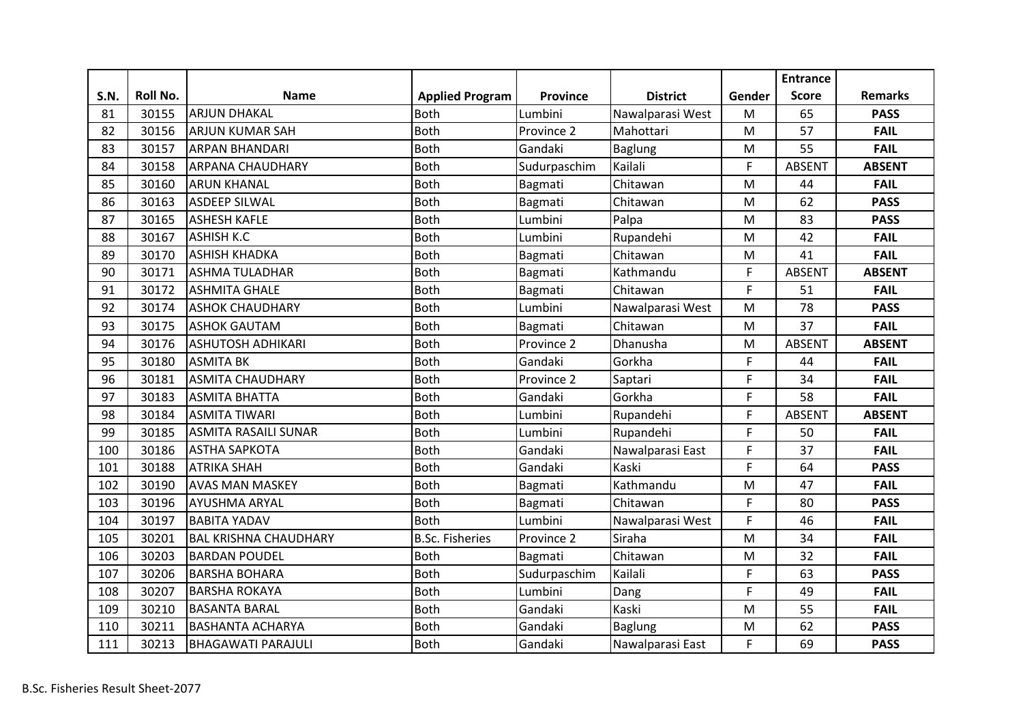|             |          |                              |                        |                 |                  |        | <b>Entrance</b> |                |
|-------------|----------|------------------------------|------------------------|-----------------|------------------|--------|-----------------|----------------|
| <b>S.N.</b> | Roll No. | <b>Name</b>                  | <b>Applied Program</b> | <b>Province</b> | <b>District</b>  | Gender | <b>Score</b>    | <b>Remarks</b> |
| 81          | 30155    | <b>ARJUN DHAKAL</b>          | <b>Both</b>            | Lumbini         | Nawalparasi West | M      | 65              | <b>PASS</b>    |
| 82          | 30156    | <b>ARJUN KUMAR SAH</b>       | <b>Both</b>            | Province 2      | Mahottari        | M      | 57              | <b>FAIL</b>    |
| 83          | 30157    | <b>ARPAN BHANDARI</b>        | <b>Both</b>            | Gandaki         | <b>Baglung</b>   | M      | 55              | <b>FAIL</b>    |
| 84          | 30158    | <b>ARPANA CHAUDHARY</b>      | <b>Both</b>            | Sudurpaschim    | Kailali          | F      | <b>ABSENT</b>   | <b>ABSENT</b>  |
| 85          | 30160    | <b>ARUN KHANAL</b>           | <b>Both</b>            | Bagmati         | Chitawan         | M      | 44              | <b>FAIL</b>    |
| 86          | 30163    | <b>ASDEEP SILWAL</b>         | <b>Both</b>            | Bagmati         | Chitawan         | M      | 62              | <b>PASS</b>    |
| 87          | 30165    | <b>ASHESH KAFLE</b>          | <b>Both</b>            | Lumbini         | Palpa            | M      | 83              | <b>PASS</b>    |
| 88          | 30167    | <b>ASHISH K.C</b>            | <b>Both</b>            | Lumbini         | Rupandehi        | M      | 42              | <b>FAIL</b>    |
| 89          | 30170    | <b>ASHISH KHADKA</b>         | <b>Both</b>            | Bagmati         | Chitawan         | M      | 41              | <b>FAIL</b>    |
| 90          | 30171    | <b>ASHMA TULADHAR</b>        | <b>Both</b>            | Bagmati         | Kathmandu        | F      | <b>ABSENT</b>   | <b>ABSENT</b>  |
| 91          | 30172    | <b>ASHMITA GHALE</b>         | <b>Both</b>            | Bagmati         | Chitawan         | F      | 51              | <b>FAIL</b>    |
| 92          | 30174    | <b>ASHOK CHAUDHARY</b>       | <b>Both</b>            | Lumbini         | Nawalparasi West | M      | 78              | <b>PASS</b>    |
| 93          | 30175    | <b>ASHOK GAUTAM</b>          | <b>Both</b>            | Bagmati         | Chitawan         | M      | 37              | <b>FAIL</b>    |
| 94          | 30176    | <b>ASHUTOSH ADHIKARI</b>     | <b>Both</b>            | Province 2      | Dhanusha         | M      | <b>ABSENT</b>   | <b>ABSENT</b>  |
| 95          | 30180    | <b>ASMITA BK</b>             | <b>Both</b>            | Gandaki         | Gorkha           | F      | 44              | <b>FAIL</b>    |
| 96          | 30181    | <b>ASMITA CHAUDHARY</b>      | <b>Both</b>            | Province 2      | Saptari          | F      | 34              | <b>FAIL</b>    |
| 97          | 30183    | <b>ASMITA BHATTA</b>         | <b>Both</b>            | Gandaki         | Gorkha           | F      | 58              | <b>FAIL</b>    |
| 98          | 30184    | <b>ASMITA TIWARI</b>         | <b>Both</b>            | Lumbini         | Rupandehi        | F      | <b>ABSENT</b>   | <b>ABSENT</b>  |
| 99          | 30185    | <b>ASMITA RASAILI SUNAR</b>  | <b>Both</b>            | Lumbini         | Rupandehi        | F      | 50              | <b>FAIL</b>    |
| 100         | 30186    | <b>ASTHA SAPKOTA</b>         | <b>Both</b>            | Gandaki         | Nawalparasi East | F      | 37              | <b>FAIL</b>    |
| 101         | 30188    | <b>ATRIKA SHAH</b>           | <b>Both</b>            | Gandaki         | Kaski            | F      | 64              | <b>PASS</b>    |
| 102         | 30190    | <b>AVAS MAN MASKEY</b>       | <b>Both</b>            | Bagmati         | Kathmandu        | M      | 47              | <b>FAIL</b>    |
| 103         | 30196    | <b>AYUSHMA ARYAL</b>         | <b>Both</b>            | Bagmati         | Chitawan         | F      | 80              | <b>PASS</b>    |
| 104         | 30197    | <b>BABITA YADAV</b>          | <b>Both</b>            | Lumbini         | Nawalparasi West | F      | 46              | <b>FAIL</b>    |
| 105         | 30201    | <b>BAL KRISHNA CHAUDHARY</b> | <b>B.Sc. Fisheries</b> | Province 2      | Siraha           | M      | 34              | <b>FAIL</b>    |
| 106         | 30203    | <b>BARDAN POUDEL</b>         | <b>Both</b>            | Bagmati         | Chitawan         | M      | 32              | <b>FAIL</b>    |
| 107         | 30206    | <b>BARSHA BOHARA</b>         | <b>Both</b>            | Sudurpaschim    | Kailali          | F      | 63              | <b>PASS</b>    |
| 108         | 30207    | <b>BARSHA ROKAYA</b>         | <b>Both</b>            | Lumbini         | Dang             | F      | 49              | <b>FAIL</b>    |
| 109         | 30210    | <b>BASANTA BARAL</b>         | <b>Both</b>            | Gandaki         | Kaski            | M      | 55              | <b>FAIL</b>    |
| 110         | 30211    | <b>BASHANTA ACHARYA</b>      | <b>Both</b>            | Gandaki         | <b>Baglung</b>   | M      | 62              | <b>PASS</b>    |
| 111         | 30213    | <b>BHAGAWATI PARAJULI</b>    | <b>Both</b>            | Gandaki         | Nawalparasi East | F      | 69              | <b>PASS</b>    |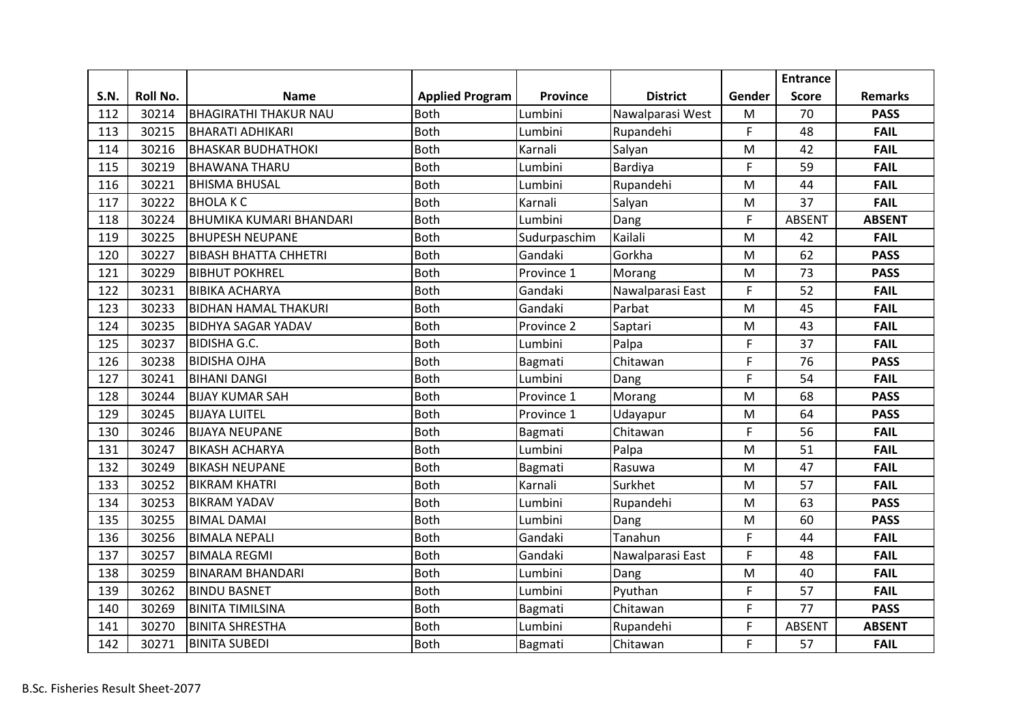|             |          |                                |                        |                 |                  |           | <b>Entrance</b> |                |
|-------------|----------|--------------------------------|------------------------|-----------------|------------------|-----------|-----------------|----------------|
| <b>S.N.</b> | Roll No. | <b>Name</b>                    | <b>Applied Program</b> | <b>Province</b> | <b>District</b>  | Gender    | <b>Score</b>    | <b>Remarks</b> |
| 112         | 30214    | <b>BHAGIRATHI THAKUR NAU</b>   | <b>Both</b>            | Lumbini         | Nawalparasi West | M         | 70              | <b>PASS</b>    |
| 113         | 30215    | <b>BHARATI ADHIKARI</b>        | <b>Both</b>            | Lumbini         | Rupandehi        | F         | 48              | <b>FAIL</b>    |
| 114         | 30216    | <b>BHASKAR BUDHATHOKI</b>      | <b>Both</b>            | Karnali         | Salyan           | ${\sf M}$ | 42              | <b>FAIL</b>    |
| 115         | 30219    | <b>BHAWANA THARU</b>           | <b>Both</b>            | Lumbini         | Bardiya          | F         | 59              | <b>FAIL</b>    |
| 116         | 30221    | <b>BHISMA BHUSAL</b>           | <b>Both</b>            | Lumbini         | Rupandehi        | M         | 44              | <b>FAIL</b>    |
| 117         | 30222    | <b>BHOLAKC</b>                 | <b>Both</b>            | Karnali         | Salyan           | M         | 37              | <b>FAIL</b>    |
| 118         | 30224    | <b>BHUMIKA KUMARI BHANDARI</b> | <b>Both</b>            | Lumbini         | Dang             | F         | <b>ABSENT</b>   | <b>ABSENT</b>  |
| 119         | 30225    | <b>BHUPESH NEUPANE</b>         | <b>Both</b>            | Sudurpaschim    | Kailali          | M         | 42              | <b>FAIL</b>    |
| 120         | 30227    | <b>BIBASH BHATTA CHHETRI</b>   | <b>Both</b>            | Gandaki         | Gorkha           | M         | 62              | <b>PASS</b>    |
| 121         | 30229    | <b>BIBHUT POKHREL</b>          | <b>Both</b>            | Province 1      | Morang           | M         | 73              | <b>PASS</b>    |
| 122         | 30231    | <b>BIBIKA ACHARYA</b>          | <b>Both</b>            | Gandaki         | Nawalparasi East | F         | 52              | <b>FAIL</b>    |
| 123         | 30233    | <b>BIDHAN HAMAL THAKURI</b>    | <b>Both</b>            | Gandaki         | Parbat           | M         | 45              | <b>FAIL</b>    |
| 124         | 30235    | <b>BIDHYA SAGAR YADAV</b>      | <b>Both</b>            | Province 2      | Saptari          | M         | 43              | <b>FAIL</b>    |
| 125         | 30237    | <b>BIDISHA G.C.</b>            | <b>Both</b>            | Lumbini         | Palpa            | F         | 37              | <b>FAIL</b>    |
| 126         | 30238    | <b>BIDISHA OJHA</b>            | <b>Both</b>            | Bagmati         | Chitawan         | F         | 76              | <b>PASS</b>    |
| 127         | 30241    | <b>BIHANI DANGI</b>            | <b>Both</b>            | Lumbini         | Dang             | F         | 54              | <b>FAIL</b>    |
| 128         | 30244    | <b>BIJAY KUMAR SAH</b>         | <b>Both</b>            | Province 1      | Morang           | M         | 68              | <b>PASS</b>    |
| 129         | 30245    | <b>BIJAYA LUITEL</b>           | <b>Both</b>            | Province 1      | Udayapur         | M         | 64              | <b>PASS</b>    |
| 130         | 30246    | <b>BIJAYA NEUPANE</b>          | <b>Both</b>            | Bagmati         | Chitawan         | F         | 56              | <b>FAIL</b>    |
| 131         | 30247    | <b>BIKASH ACHARYA</b>          | <b>Both</b>            | Lumbini         | Palpa            | M         | 51              | <b>FAIL</b>    |
| 132         | 30249    | <b>BIKASH NEUPANE</b>          | <b>Both</b>            | Bagmati         | Rasuwa           | M         | 47              | <b>FAIL</b>    |
| 133         | 30252    | <b>BIKRAM KHATRI</b>           | <b>Both</b>            | Karnali         | Surkhet          | M         | 57              | <b>FAIL</b>    |
| 134         | 30253    | <b>BIKRAM YADAV</b>            | <b>Both</b>            | Lumbini         | Rupandehi        | M         | 63              | <b>PASS</b>    |
| 135         | 30255    | <b>BIMAL DAMAI</b>             | <b>Both</b>            | Lumbini         | Dang             | M         | 60              | <b>PASS</b>    |
| 136         | 30256    | <b>BIMALA NEPALI</b>           | <b>Both</b>            | Gandaki         | Tanahun          | F         | 44              | <b>FAIL</b>    |
| 137         | 30257    | <b>BIMALA REGMI</b>            | <b>Both</b>            | Gandaki         | Nawalparasi East | F         | 48              | <b>FAIL</b>    |
| 138         | 30259    | <b>BINARAM BHANDARI</b>        | <b>Both</b>            | Lumbini         | Dang             | M         | 40              | <b>FAIL</b>    |
| 139         | 30262    | <b>BINDU BASNET</b>            | <b>Both</b>            | Lumbini         | Pyuthan          | F         | 57              | <b>FAIL</b>    |
| 140         | 30269    | <b>BINITA TIMILSINA</b>        | <b>Both</b>            | Bagmati         | Chitawan         | F         | 77              | <b>PASS</b>    |
| 141         | 30270    | <b>BINITA SHRESTHA</b>         | <b>Both</b>            | Lumbini         | Rupandehi        | F         | <b>ABSENT</b>   | <b>ABSENT</b>  |
| 142         | 30271    | <b>BINITA SUBEDI</b>           | <b>Both</b>            | Bagmati         | Chitawan         | F         | 57              | <b>FAIL</b>    |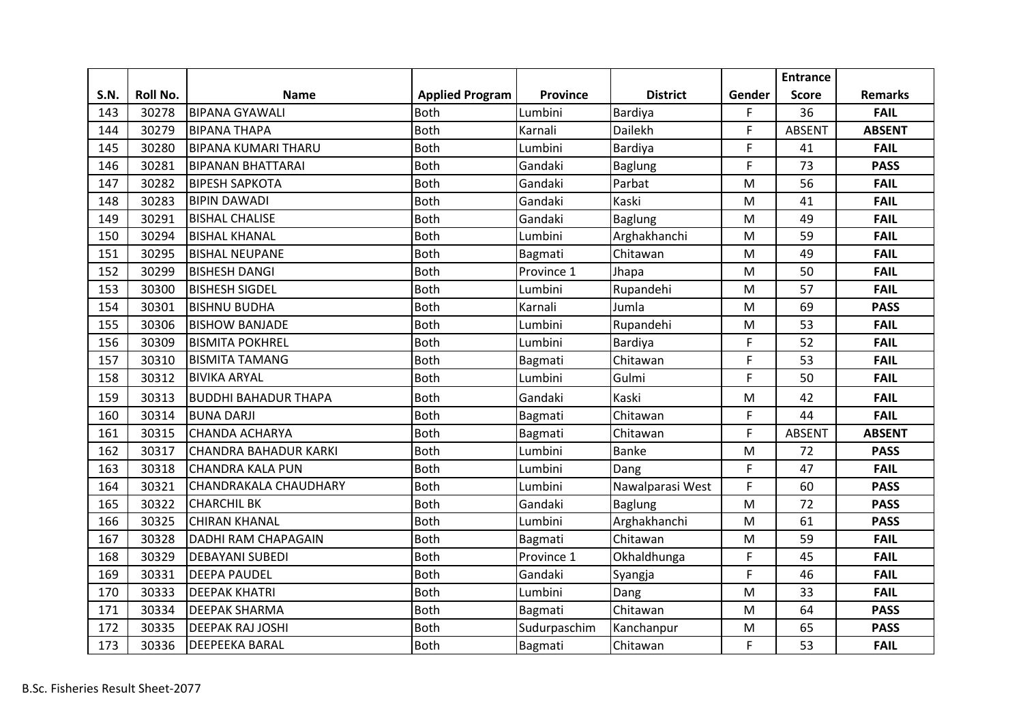|      |          |                              |                        |              |                  |             | <b>Entrance</b> |                |
|------|----------|------------------------------|------------------------|--------------|------------------|-------------|-----------------|----------------|
| S.N. | Roll No. | <b>Name</b>                  | <b>Applied Program</b> | Province     | <b>District</b>  | Gender      | <b>Score</b>    | <b>Remarks</b> |
| 143  | 30278    | <b>BIPANA GYAWALI</b>        | <b>Both</b>            | Lumbini      | Bardiya          | F           | 36              | <b>FAIL</b>    |
| 144  | 30279    | <b>BIPANA THAPA</b>          | <b>Both</b>            | Karnali      | Dailekh          | $\mathsf F$ | <b>ABSENT</b>   | <b>ABSENT</b>  |
| 145  | 30280    | <b>BIPANA KUMARI THARU</b>   | <b>Both</b>            | Lumbini      | Bardiya          | F           | 41              | <b>FAIL</b>    |
| 146  | 30281    | <b>BIPANAN BHATTARAI</b>     | <b>Both</b>            | Gandaki      | <b>Baglung</b>   | F           | 73              | <b>PASS</b>    |
| 147  | 30282    | <b>BIPESH SAPKOTA</b>        | <b>Both</b>            | Gandaki      | Parbat           | M           | 56              | <b>FAIL</b>    |
| 148  | 30283    | <b>BIPIN DAWADI</b>          | <b>Both</b>            | Gandaki      | Kaski            | M           | 41              | <b>FAIL</b>    |
| 149  | 30291    | <b>BISHAL CHALISE</b>        | <b>Both</b>            | Gandaki      | <b>Baglung</b>   | M           | 49              | <b>FAIL</b>    |
| 150  | 30294    | <b>BISHAL KHANAL</b>         | <b>Both</b>            | Lumbini      | Arghakhanchi     | M           | 59              | <b>FAIL</b>    |
| 151  | 30295    | <b>BISHAL NEUPANE</b>        | <b>Both</b>            | Bagmati      | Chitawan         | M           | 49              | <b>FAIL</b>    |
| 152  | 30299    | <b>BISHESH DANGI</b>         | <b>Both</b>            | Province 1   | Jhapa            | M           | 50              | <b>FAIL</b>    |
| 153  | 30300    | <b>BISHESH SIGDEL</b>        | <b>Both</b>            | Lumbini      | Rupandehi        | M           | 57              | <b>FAIL</b>    |
| 154  | 30301    | <b>BISHNU BUDHA</b>          | <b>Both</b>            | Karnali      | Jumla            | M           | 69              | <b>PASS</b>    |
| 155  | 30306    | <b>BISHOW BANJADE</b>        | <b>Both</b>            | Lumbini      | Rupandehi        | M           | 53              | <b>FAIL</b>    |
| 156  | 30309    | <b>BISMITA POKHREL</b>       | <b>Both</b>            | Lumbini      | Bardiya          | F           | 52              | <b>FAIL</b>    |
| 157  | 30310    | <b>BISMITA TAMANG</b>        | <b>Both</b>            | Bagmati      | Chitawan         | F           | 53              | <b>FAIL</b>    |
| 158  | 30312    | <b>BIVIKA ARYAL</b>          | <b>Both</b>            | Lumbini      | Gulmi            | F           | 50              | <b>FAIL</b>    |
| 159  | 30313    | <b>BUDDHI BAHADUR THAPA</b>  | <b>Both</b>            | Gandaki      | Kaski            | M           | 42              | <b>FAIL</b>    |
| 160  | 30314    | <b>BUNA DARJI</b>            | <b>Both</b>            | Bagmati      | Chitawan         | F           | 44              | <b>FAIL</b>    |
| 161  | 30315    | <b>CHANDA ACHARYA</b>        | <b>Both</b>            | Bagmati      | Chitawan         | F           | <b>ABSENT</b>   | <b>ABSENT</b>  |
| 162  | 30317    | <b>CHANDRA BAHADUR KARKI</b> | <b>Both</b>            | Lumbini      | <b>Banke</b>     | M           | 72              | <b>PASS</b>    |
| 163  | 30318    | <b>CHANDRA KALA PUN</b>      | <b>Both</b>            | Lumbini      | Dang             | F           | 47              | <b>FAIL</b>    |
| 164  | 30321    | <b>CHANDRAKALA CHAUDHARY</b> | <b>Both</b>            | Lumbini      | Nawalparasi West | F           | 60              | <b>PASS</b>    |
| 165  | 30322    | <b>CHARCHIL BK</b>           | <b>Both</b>            | Gandaki      | <b>Baglung</b>   | M           | 72              | <b>PASS</b>    |
| 166  | 30325    | <b>CHIRAN KHANAL</b>         | <b>Both</b>            | Lumbini      | Arghakhanchi     | M           | 61              | <b>PASS</b>    |
| 167  | 30328    | <b>DADHI RAM CHAPAGAIN</b>   | <b>Both</b>            | Bagmati      | Chitawan         | M           | 59              | <b>FAIL</b>    |
| 168  | 30329    | <b>DEBAYANI SUBEDI</b>       | <b>Both</b>            | Province 1   | Okhaldhunga      | F           | 45              | <b>FAIL</b>    |
| 169  | 30331    | <b>DEEPA PAUDEL</b>          | <b>Both</b>            | Gandaki      | Syangja          | F           | 46              | <b>FAIL</b>    |
| 170  | 30333    | <b>DEEPAK KHATRI</b>         | <b>Both</b>            | Lumbini      | Dang             | M           | 33              | <b>FAIL</b>    |
| 171  | 30334    | <b>DEEPAK SHARMA</b>         | <b>Both</b>            | Bagmati      | Chitawan         | M           | 64              | <b>PASS</b>    |
| 172  | 30335    | <b>DEEPAK RAJ JOSHI</b>      | <b>Both</b>            | Sudurpaschim | Kanchanpur       | M           | 65              | <b>PASS</b>    |
| 173  | 30336    | <b>DEEPEEKA BARAL</b>        | <b>Both</b>            | Bagmati      | Chitawan         | F           | 53              | <b>FAIL</b>    |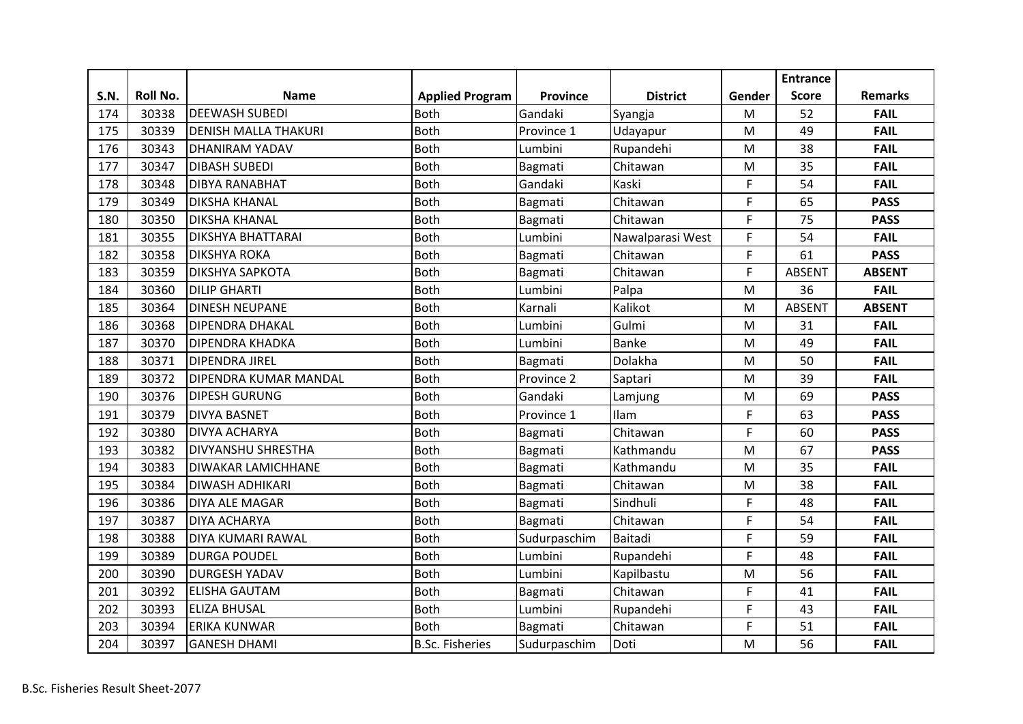|      |          |                             |                        |                 |                  |        | <b>Entrance</b> |                |
|------|----------|-----------------------------|------------------------|-----------------|------------------|--------|-----------------|----------------|
| S.N. | Roll No. | <b>Name</b>                 | <b>Applied Program</b> | <b>Province</b> | <b>District</b>  | Gender | <b>Score</b>    | <b>Remarks</b> |
| 174  | 30338    | <b>DEEWASH SUBEDI</b>       | <b>Both</b>            | Gandaki         | Syangja          | M      | 52              | <b>FAIL</b>    |
| 175  | 30339    | <b>DENISH MALLA THAKURI</b> | <b>Both</b>            | Province 1      | Udayapur         | M      | 49              | <b>FAIL</b>    |
| 176  | 30343    | <b>DHANIRAM YADAV</b>       | <b>Both</b>            | Lumbini         | Rupandehi        | M      | 38              | <b>FAIL</b>    |
| 177  | 30347    | <b>DIBASH SUBEDI</b>        | <b>Both</b>            | Bagmati         | Chitawan         | M      | 35              | <b>FAIL</b>    |
| 178  | 30348    | <b>DIBYA RANABHAT</b>       | <b>Both</b>            | Gandaki         | Kaski            | F      | 54              | <b>FAIL</b>    |
| 179  | 30349    | <b>DIKSHA KHANAL</b>        | <b>Both</b>            | Bagmati         | Chitawan         | F      | 65              | <b>PASS</b>    |
| 180  | 30350    | <b>DIKSHA KHANAL</b>        | <b>Both</b>            | Bagmati         | Chitawan         | F      | 75              | <b>PASS</b>    |
| 181  | 30355    | <b>DIKSHYA BHATTARAI</b>    | <b>Both</b>            | Lumbini         | Nawalparasi West | F      | 54              | <b>FAIL</b>    |
| 182  | 30358    | <b>DIKSHYA ROKA</b>         | <b>Both</b>            | Bagmati         | Chitawan         | F      | 61              | <b>PASS</b>    |
| 183  | 30359    | <b>DIKSHYA SAPKOTA</b>      | <b>Both</b>            | Bagmati         | Chitawan         | F      | <b>ABSENT</b>   | <b>ABSENT</b>  |
| 184  | 30360    | <b>DILIP GHARTI</b>         | <b>Both</b>            | Lumbini         | Palpa            | M      | 36              | <b>FAIL</b>    |
| 185  | 30364    | <b>DINESH NEUPANE</b>       | <b>Both</b>            | Karnali         | Kalikot          | M      | <b>ABSENT</b>   | <b>ABSENT</b>  |
| 186  | 30368    | <b>DIPENDRA DHAKAL</b>      | <b>Both</b>            | Lumbini         | Gulmi            | M      | 31              | <b>FAIL</b>    |
| 187  | 30370    | <b>DIPENDRA KHADKA</b>      | <b>Both</b>            | Lumbini         | <b>Banke</b>     | M      | 49              | <b>FAIL</b>    |
| 188  | 30371    | <b>DIPENDRA JIREL</b>       | <b>Both</b>            | Bagmati         | Dolakha          | M      | 50              | <b>FAIL</b>    |
| 189  | 30372    | DIPENDRA KUMAR MANDAL       | <b>Both</b>            | Province 2      | Saptari          | M      | 39              | <b>FAIL</b>    |
| 190  | 30376    | <b>DIPESH GURUNG</b>        | <b>Both</b>            | Gandaki         | Lamjung          | M      | 69              | <b>PASS</b>    |
| 191  | 30379    | <b>DIVYA BASNET</b>         | Both                   | Province 1      | Ilam             | F      | 63              | <b>PASS</b>    |
| 192  | 30380    | <b>DIVYA ACHARYA</b>        | <b>Both</b>            | Bagmati         | Chitawan         | F      | 60              | <b>PASS</b>    |
| 193  | 30382    | <b>DIVYANSHU SHRESTHA</b>   | <b>Both</b>            | Bagmati         | Kathmandu        | M      | 67              | <b>PASS</b>    |
| 194  | 30383    | <b>DIWAKAR LAMICHHANE</b>   | <b>Both</b>            | Bagmati         | Kathmandu        | M      | 35              | <b>FAIL</b>    |
| 195  | 30384    | <b>DIWASH ADHIKARI</b>      | <b>Both</b>            | Bagmati         | Chitawan         | M      | 38              | <b>FAIL</b>    |
| 196  | 30386    | <b>DIYA ALE MAGAR</b>       | <b>Both</b>            | Bagmati         | Sindhuli         | F      | 48              | <b>FAIL</b>    |
| 197  | 30387    | <b>DIYA ACHARYA</b>         | <b>Both</b>            | Bagmati         | Chitawan         | F      | 54              | <b>FAIL</b>    |
| 198  | 30388    | <b>DIYA KUMARI RAWAL</b>    | <b>Both</b>            | Sudurpaschim    | Baitadi          | F      | 59              | <b>FAIL</b>    |
| 199  | 30389    | <b>DURGA POUDEL</b>         | <b>Both</b>            | Lumbini         | Rupandehi        | F      | 48              | <b>FAIL</b>    |
| 200  | 30390    | <b>DURGESH YADAV</b>        | <b>Both</b>            | Lumbini         | Kapilbastu       | M      | 56              | <b>FAIL</b>    |
| 201  | 30392    | <b>ELISHA GAUTAM</b>        | <b>Both</b>            | Bagmati         | Chitawan         | F      | 41              | <b>FAIL</b>    |
| 202  | 30393    | <b>ELIZA BHUSAL</b>         | <b>Both</b>            | Lumbini         | Rupandehi        | F      | 43              | <b>FAIL</b>    |
| 203  | 30394    | <b>ERIKA KUNWAR</b>         | <b>Both</b>            | Bagmati         | Chitawan         | F      | 51              | <b>FAIL</b>    |
| 204  | 30397    | <b>GANESH DHAMI</b>         | <b>B.Sc. Fisheries</b> | Sudurpaschim    | Doti             | M      | 56              | <b>FAIL</b>    |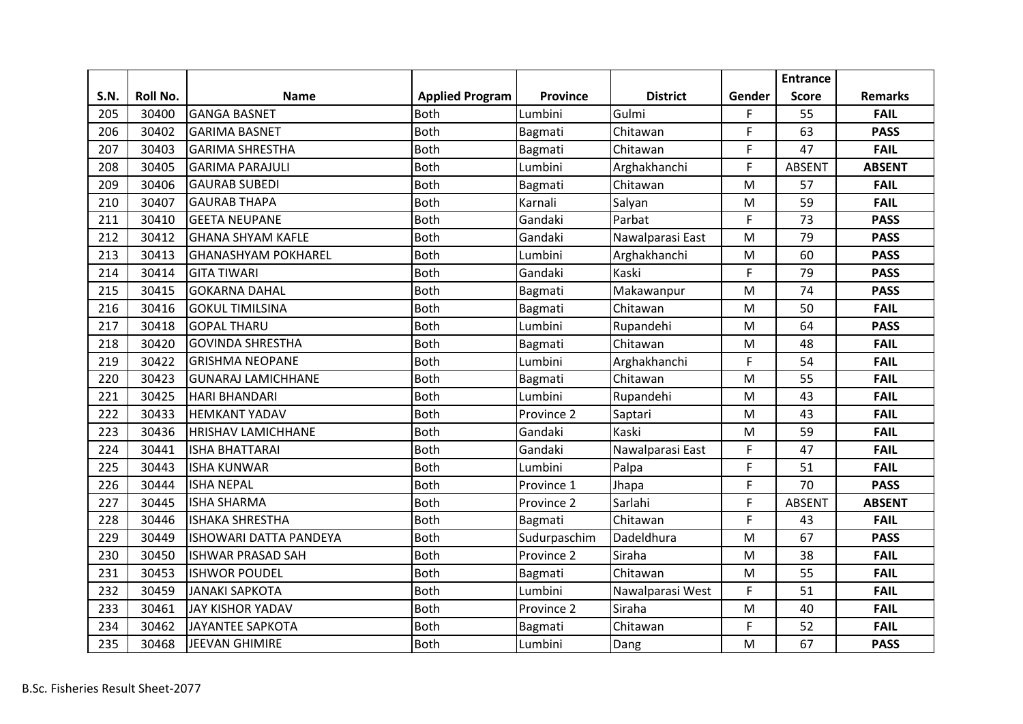|      |          |                            |                        |              |                  |           | <b>Entrance</b> |                |
|------|----------|----------------------------|------------------------|--------------|------------------|-----------|-----------------|----------------|
| S.N. | Roll No. | <b>Name</b>                | <b>Applied Program</b> | Province     | <b>District</b>  | Gender    | <b>Score</b>    | <b>Remarks</b> |
| 205  | 30400    | <b>GANGA BASNET</b>        | <b>Both</b>            | Lumbini      | Gulmi            | F         | 55              | <b>FAIL</b>    |
| 206  | 30402    | <b>GARIMA BASNET</b>       | Both                   | Bagmati      | Chitawan         | F         | 63              | <b>PASS</b>    |
| 207  | 30403    | <b>GARIMA SHRESTHA</b>     | <b>Both</b>            | Bagmati      | Chitawan         | F         | 47              | <b>FAIL</b>    |
| 208  | 30405    | <b>GARIMA PARAJULI</b>     | <b>Both</b>            | Lumbini      | Arghakhanchi     | F         | <b>ABSENT</b>   | <b>ABSENT</b>  |
| 209  | 30406    | <b>GAURAB SUBEDI</b>       | <b>Both</b>            | Bagmati      | Chitawan         | M         | 57              | <b>FAIL</b>    |
| 210  | 30407    | <b>GAURAB THAPA</b>        | <b>Both</b>            | Karnali      | Salyan           | M         | 59              | <b>FAIL</b>    |
| 211  | 30410    | <b>GEETA NEUPANE</b>       | <b>Both</b>            | Gandaki      | Parbat           | F         | 73              | <b>PASS</b>    |
| 212  | 30412    | <b>GHANA SHYAM KAFLE</b>   | <b>Both</b>            | Gandaki      | Nawalparasi East | M         | 79              | <b>PASS</b>    |
| 213  | 30413    | <b>GHANASHYAM POKHAREL</b> | <b>Both</b>            | Lumbini      | Arghakhanchi     | M         | 60              | <b>PASS</b>    |
| 214  | 30414    | <b>GITA TIWARI</b>         | <b>Both</b>            | Gandaki      | Kaski            | F         | 79              | <b>PASS</b>    |
| 215  | 30415    | <b>GOKARNA DAHAL</b>       | <b>Both</b>            | Bagmati      | Makawanpur       | M         | 74              | <b>PASS</b>    |
| 216  | 30416    | <b>GOKUL TIMILSINA</b>     | <b>Both</b>            | Bagmati      | Chitawan         | M         | 50              | <b>FAIL</b>    |
| 217  | 30418    | <b>GOPAL THARU</b>         | <b>Both</b>            | Lumbini      | Rupandehi        | M         | 64              | <b>PASS</b>    |
| 218  | 30420    | <b>GOVINDA SHRESTHA</b>    | <b>Both</b>            | Bagmati      | Chitawan         | M         | 48              | <b>FAIL</b>    |
| 219  | 30422    | <b>GRISHMA NEOPANE</b>     | <b>Both</b>            | Lumbini      | Arghakhanchi     | F         | 54              | <b>FAIL</b>    |
| 220  | 30423    | <b>GUNARAJ LAMICHHANE</b>  | <b>Both</b>            | Bagmati      | Chitawan         | M         | 55              | <b>FAIL</b>    |
| 221  | 30425    | <b>HARI BHANDARI</b>       | <b>Both</b>            | Lumbini      | Rupandehi        | M         | 43              | <b>FAIL</b>    |
| 222  | 30433    | <b>HEMKANT YADAV</b>       | <b>Both</b>            | Province 2   | Saptari          | M         | 43              | <b>FAIL</b>    |
| 223  | 30436    | <b>HRISHAV LAMICHHANE</b>  | <b>Both</b>            | Gandaki      | Kaski            | M         | 59              | <b>FAIL</b>    |
| 224  | 30441    | <b>ISHA BHATTARAI</b>      | <b>Both</b>            | Gandaki      | Nawalparasi East | F         | 47              | <b>FAIL</b>    |
| 225  | 30443    | <b>ISHA KUNWAR</b>         | <b>Both</b>            | Lumbini      | Palpa            | F         | 51              | <b>FAIL</b>    |
| 226  | 30444    | <b>ISHA NEPAL</b>          | <b>Both</b>            | Province 1   | Jhapa            | F         | 70              | <b>PASS</b>    |
| 227  | 30445    | <b>ISHA SHARMA</b>         | <b>Both</b>            | Province 2   | Sarlahi          | F         | <b>ABSENT</b>   | <b>ABSENT</b>  |
| 228  | 30446    | <b>ISHAKA SHRESTHA</b>     | <b>Both</b>            | Bagmati      | Chitawan         | F         | 43              | <b>FAIL</b>    |
| 229  | 30449    | ISHOWARI DATTA PANDEYA     | <b>Both</b>            | Sudurpaschim | Dadeldhura       | M         | 67              | <b>PASS</b>    |
| 230  | 30450    | <b>ISHWAR PRASAD SAH</b>   | <b>Both</b>            | Province 2   | Siraha           | M         | 38              | <b>FAIL</b>    |
| 231  | 30453    | <b>ISHWOR POUDEL</b>       | <b>Both</b>            | Bagmati      | Chitawan         | M         | 55              | <b>FAIL</b>    |
| 232  | 30459    | <b>JANAKI SAPKOTA</b>      | <b>Both</b>            | Lumbini      | Nawalparasi West | F         | 51              | <b>FAIL</b>    |
| 233  | 30461    | <b>JAY KISHOR YADAV</b>    | <b>Both</b>            | Province 2   | Siraha           | ${\sf M}$ | 40              | <b>FAIL</b>    |
| 234  | 30462    | <b>JAYANTEE SAPKOTA</b>    | <b>Both</b>            | Bagmati      | Chitawan         | F         | 52              | <b>FAIL</b>    |
| 235  | 30468    | JEEVAN GHIMIRE             | <b>Both</b>            | Lumbini      | Dang             | M         | 67              | <b>PASS</b>    |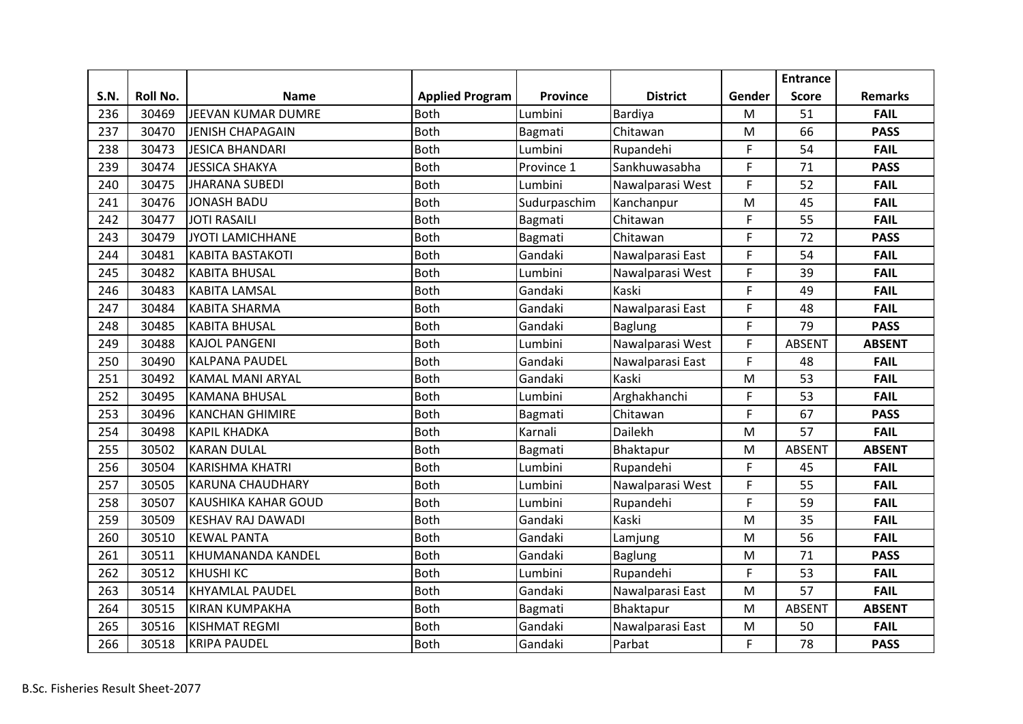|      |                 |                            |                        |                 |                  |        | <b>Entrance</b> |                |
|------|-----------------|----------------------------|------------------------|-----------------|------------------|--------|-----------------|----------------|
| S.N. | <b>Roll No.</b> | <b>Name</b>                | <b>Applied Program</b> | <b>Province</b> | <b>District</b>  | Gender | <b>Score</b>    | <b>Remarks</b> |
| 236  | 30469           | JEEVAN KUMAR DUMRE         | <b>Both</b>            | Lumbini         | Bardiya          | M      | 51              | <b>FAIL</b>    |
| 237  | 30470           | <b>JENISH CHAPAGAIN</b>    | <b>Both</b>            | Bagmati         | Chitawan         | M      | 66              | <b>PASS</b>    |
| 238  | 30473           | <b>JESICA BHANDARI</b>     | <b>Both</b>            | Lumbini         | Rupandehi        | F.     | 54              | <b>FAIL</b>    |
| 239  | 30474           | <b>JESSICA SHAKYA</b>      | <b>Both</b>            | Province 1      | Sankhuwasabha    | F      | 71              | <b>PASS</b>    |
| 240  | 30475           | <b>JHARANA SUBEDI</b>      | <b>Both</b>            | Lumbini         | Nawalparasi West | F.     | 52              | <b>FAIL</b>    |
| 241  | 30476           | <b>JONASH BADU</b>         | <b>Both</b>            | Sudurpaschim    | Kanchanpur       | M      | 45              | <b>FAIL</b>    |
| 242  | 30477           | <b>JOTI RASAILI</b>        | <b>Both</b>            | Bagmati         | Chitawan         | F      | 55              | <b>FAIL</b>    |
| 243  | 30479           | JYOTI LAMICHHANE           | <b>Both</b>            | Bagmati         | Chitawan         | F      | 72              | <b>PASS</b>    |
| 244  | 30481           | <b>KABITA BASTAKOTI</b>    | <b>Both</b>            | Gandaki         | Nawalparasi East | F      | 54              | <b>FAIL</b>    |
| 245  | 30482           | <b>KABITA BHUSAL</b>       | <b>Both</b>            | Lumbini         | Nawalparasi West | F      | 39              | <b>FAIL</b>    |
| 246  | 30483           | <b>KABITA LAMSAL</b>       | <b>Both</b>            | Gandaki         | Kaski            | F      | 49              | <b>FAIL</b>    |
| 247  | 30484           | <b>KABITA SHARMA</b>       | <b>Both</b>            | Gandaki         | Nawalparasi East | F      | 48              | <b>FAIL</b>    |
| 248  | 30485           | <b>KABITA BHUSAL</b>       | <b>Both</b>            | Gandaki         | Baglung          | F      | 79              | <b>PASS</b>    |
| 249  | 30488           | <b>KAJOL PANGENI</b>       | <b>Both</b>            | Lumbini         | Nawalparasi West | F      | <b>ABSENT</b>   | <b>ABSENT</b>  |
| 250  | 30490           | <b>KALPANA PAUDEL</b>      | <b>Both</b>            | Gandaki         | Nawalparasi East | F      | 48              | <b>FAIL</b>    |
| 251  | 30492           | <b>KAMAL MANI ARYAL</b>    | <b>Both</b>            | Gandaki         | Kaski            | M      | 53              | <b>FAIL</b>    |
| 252  | 30495           | <b>KAMANA BHUSAL</b>       | <b>Both</b>            | Lumbini         | Arghakhanchi     | F      | 53              | <b>FAIL</b>    |
| 253  | 30496           | <b>KANCHAN GHIMIRE</b>     | <b>Both</b>            | Bagmati         | Chitawan         | F      | 67              | <b>PASS</b>    |
| 254  | 30498           | <b>KAPIL KHADKA</b>        | <b>Both</b>            | Karnali         | Dailekh          | M      | 57              | <b>FAIL</b>    |
| 255  | 30502           | <b>KARAN DULAL</b>         | <b>Both</b>            | Bagmati         | Bhaktapur        | M      | <b>ABSENT</b>   | <b>ABSENT</b>  |
| 256  | 30504           | <b>KARISHMA KHATRI</b>     | <b>Both</b>            | Lumbini         | Rupandehi        | F      | 45              | <b>FAIL</b>    |
| 257  | 30505           | <b>KARUNA CHAUDHARY</b>    | <b>Both</b>            | Lumbini         | Nawalparasi West | F      | 55              | <b>FAIL</b>    |
| 258  | 30507           | <b>KAUSHIKA KAHAR GOUD</b> | <b>Both</b>            | Lumbini         | Rupandehi        | F      | 59              | <b>FAIL</b>    |
| 259  | 30509           | <b>KESHAV RAJ DAWADI</b>   | <b>Both</b>            | Gandaki         | Kaski            | M      | 35              | <b>FAIL</b>    |
| 260  | 30510           | <b>KEWAL PANTA</b>         | <b>Both</b>            | Gandaki         | Lamjung          | M      | 56              | <b>FAIL</b>    |
| 261  | 30511           | KHUMANANDA KANDEL          | <b>Both</b>            | Gandaki         | <b>Baglung</b>   | M      | 71              | <b>PASS</b>    |
| 262  | 30512           | <b>KHUSHI KC</b>           | <b>Both</b>            | Lumbini         | Rupandehi        | F      | 53              | <b>FAIL</b>    |
| 263  | 30514           | <b>KHYAMLAL PAUDEL</b>     | <b>Both</b>            | Gandaki         | Nawalparasi East | M      | 57              | <b>FAIL</b>    |
| 264  | 30515           | <b>KIRAN KUMPAKHA</b>      | Both                   | Bagmati         | Bhaktapur        | M      | <b>ABSENT</b>   | <b>ABSENT</b>  |
| 265  | 30516           | <b>KISHMAT REGMI</b>       | <b>Both</b>            | Gandaki         | Nawalparasi East | M      | 50              | <b>FAIL</b>    |
| 266  | 30518           | <b>KRIPA PAUDEL</b>        | <b>Both</b>            | Gandaki         | Parbat           | F      | 78              | <b>PASS</b>    |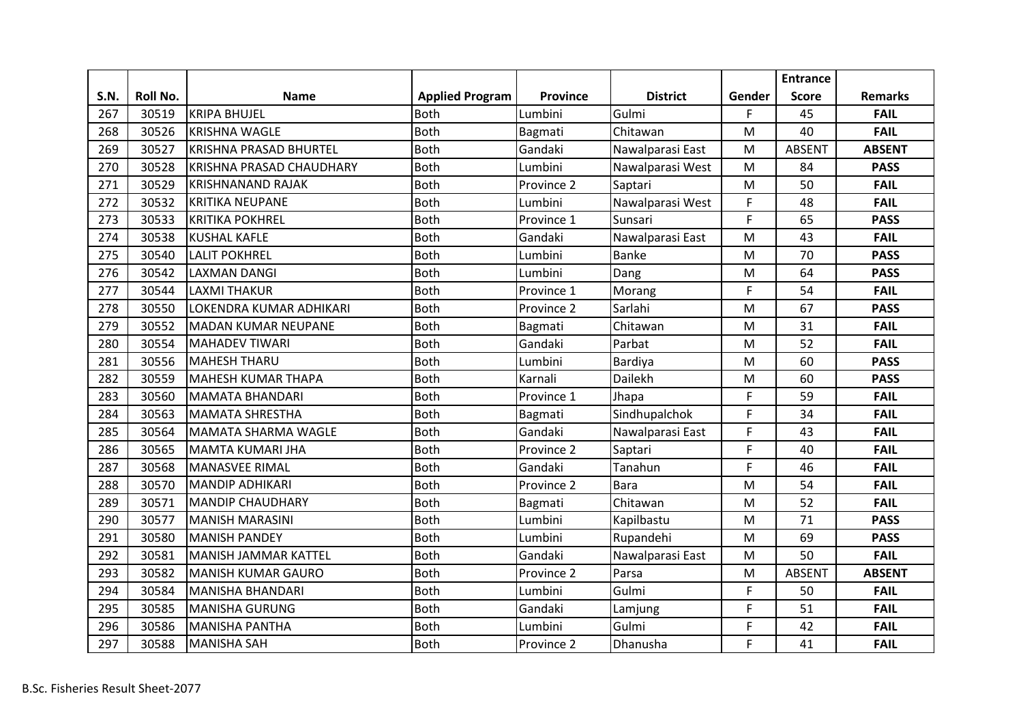|      |          |                                 |                        |                 |                  |        | <b>Entrance</b> |                |
|------|----------|---------------------------------|------------------------|-----------------|------------------|--------|-----------------|----------------|
| S.N. | Roll No. | <b>Name</b>                     | <b>Applied Program</b> | <b>Province</b> | <b>District</b>  | Gender | <b>Score</b>    | <b>Remarks</b> |
| 267  | 30519    | <b>KRIPA BHUJEL</b>             | <b>Both</b>            | Lumbini         | Gulmi            | F.     | 45              | <b>FAIL</b>    |
| 268  | 30526    | <b>KRISHNA WAGLE</b>            | <b>Both</b>            | Bagmati         | Chitawan         | M      | 40              | <b>FAIL</b>    |
| 269  | 30527    | <b>KRISHNA PRASAD BHURTEL</b>   | <b>Both</b>            | Gandaki         | Nawalparasi East | M      | <b>ABSENT</b>   | <b>ABSENT</b>  |
| 270  | 30528    | <b>KRISHNA PRASAD CHAUDHARY</b> | <b>Both</b>            | Lumbini         | Nawalparasi West | M      | 84              | <b>PASS</b>    |
| 271  | 30529    | <b>KRISHNANAND RAJAK</b>        | <b>Both</b>            | Province 2      | Saptari          | M      | 50              | <b>FAIL</b>    |
| 272  | 30532    | <b>KRITIKA NEUPANE</b>          | <b>Both</b>            | Lumbini         | Nawalparasi West | F      | 48              | <b>FAIL</b>    |
| 273  | 30533    | <b>KRITIKA POKHREL</b>          | <b>Both</b>            | Province 1      | Sunsari          | F      | 65              | <b>PASS</b>    |
| 274  | 30538    | <b>KUSHAL KAFLE</b>             | <b>Both</b>            | Gandaki         | Nawalparasi East | M      | 43              | <b>FAIL</b>    |
| 275  | 30540    | <b>LALIT POKHREL</b>            | <b>Both</b>            | Lumbini         | <b>Banke</b>     | M      | 70              | <b>PASS</b>    |
| 276  | 30542    | LAXMAN DANGI                    | <b>Both</b>            | Lumbini         | Dang             | M      | 64              | <b>PASS</b>    |
| 277  | 30544    | <b>LAXMI THAKUR</b>             | Both                   | Province 1      | Morang           | F      | 54              | <b>FAIL</b>    |
| 278  | 30550    | LOKENDRA KUMAR ADHIKARI         | <b>Both</b>            | Province 2      | Sarlahi          | M      | 67              | <b>PASS</b>    |
| 279  | 30552    | <b>MADAN KUMAR NEUPANE</b>      | <b>Both</b>            | Bagmati         | Chitawan         | M      | 31              | <b>FAIL</b>    |
| 280  | 30554    | <b>MAHADEV TIWARI</b>           | <b>Both</b>            | Gandaki         | Parbat           | M      | 52              | <b>FAIL</b>    |
| 281  | 30556    | <b>MAHESH THARU</b>             | <b>Both</b>            | Lumbini         | Bardiya          | M      | 60              | <b>PASS</b>    |
| 282  | 30559    | <b>MAHESH KUMAR THAPA</b>       | <b>Both</b>            | Karnali         | Dailekh          | M      | 60              | <b>PASS</b>    |
| 283  | 30560    | <b>MAMATA BHANDARI</b>          | <b>Both</b>            | Province 1      | Jhapa            | F      | 59              | <b>FAIL</b>    |
| 284  | 30563    | <b>MAMATA SHRESTHA</b>          | <b>Both</b>            | Bagmati         | Sindhupalchok    | F      | 34              | <b>FAIL</b>    |
| 285  | 30564    | <b>MAMATA SHARMA WAGLE</b>      | <b>Both</b>            | Gandaki         | Nawalparasi East | F      | 43              | <b>FAIL</b>    |
| 286  | 30565    | MAMTA KUMARI JHA                | <b>Both</b>            | Province 2      | Saptari          | F      | 40              | <b>FAIL</b>    |
| 287  | 30568    | <b>MANASVEE RIMAL</b>           | <b>Both</b>            | Gandaki         | Tanahun          | F      | 46              | <b>FAIL</b>    |
| 288  | 30570    | <b>MANDIP ADHIKARI</b>          | <b>Both</b>            | Province 2      | <b>Bara</b>      | M      | 54              | <b>FAIL</b>    |
| 289  | 30571    | <b>MANDIP CHAUDHARY</b>         | <b>Both</b>            | Bagmati         | Chitawan         | M      | 52              | <b>FAIL</b>    |
| 290  | 30577    | <b>MANISH MARASINI</b>          | <b>Both</b>            | Lumbini         | Kapilbastu       | M      | 71              | <b>PASS</b>    |
| 291  | 30580    | <b>MANISH PANDEY</b>            | <b>Both</b>            | Lumbini         | Rupandehi        | M      | 69              | <b>PASS</b>    |
| 292  | 30581    | <b>MANISH JAMMAR KATTEL</b>     | <b>Both</b>            | Gandaki         | Nawalparasi East | M      | 50              | <b>FAIL</b>    |
| 293  | 30582    | <b>MANISH KUMAR GAURO</b>       | <b>Both</b>            | Province 2      | Parsa            | M      | <b>ABSENT</b>   | <b>ABSENT</b>  |
| 294  | 30584    | MANISHA BHANDARI                | <b>Both</b>            | Lumbini         | Gulmi            | F      | 50              | <b>FAIL</b>    |
| 295  | 30585    | <b>MANISHA GURUNG</b>           | <b>Both</b>            | Gandaki         | Lamjung          | F      | 51              | <b>FAIL</b>    |
| 296  | 30586    | <b>MANISHA PANTHA</b>           | <b>Both</b>            | Lumbini         | Gulmi            | F      | 42              | <b>FAIL</b>    |
| 297  | 30588    | <b>MANISHA SAH</b>              | <b>Both</b>            | Province 2      | Dhanusha         | F      | 41              | <b>FAIL</b>    |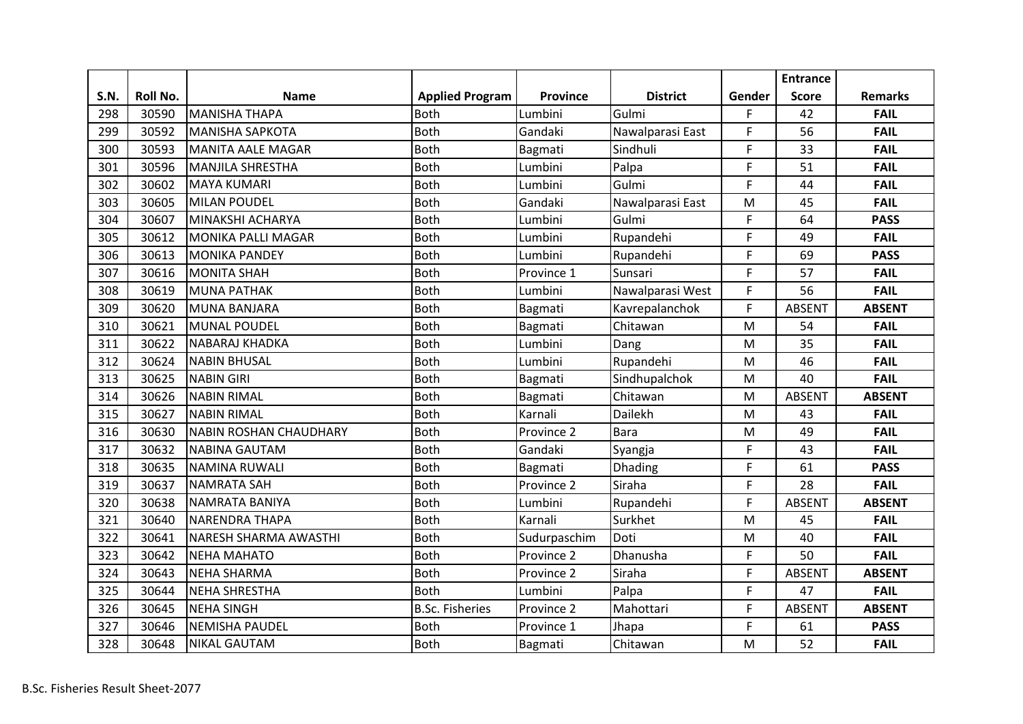|      |          |                               |                        |              |                  |        | <b>Entrance</b> |                |
|------|----------|-------------------------------|------------------------|--------------|------------------|--------|-----------------|----------------|
| S.N. | Roll No. | <b>Name</b>                   | <b>Applied Program</b> | Province     | <b>District</b>  | Gender | <b>Score</b>    | <b>Remarks</b> |
| 298  | 30590    | <b>MANISHA THAPA</b>          | <b>Both</b>            | Lumbini      | Gulmi            | F.     | 42              | <b>FAIL</b>    |
| 299  | 30592    | <b>MANISHA SAPKOTA</b>        | <b>Both</b>            | Gandaki      | Nawalparasi East | F      | 56              | <b>FAIL</b>    |
| 300  | 30593    | <b>MANITA AALE MAGAR</b>      | <b>Both</b>            | Bagmati      | Sindhuli         | F      | 33              | <b>FAIL</b>    |
| 301  | 30596    | <b>MANJILA SHRESTHA</b>       | <b>Both</b>            | Lumbini      | Palpa            | F      | 51              | <b>FAIL</b>    |
| 302  | 30602    | <b>MAYA KUMARI</b>            | <b>Both</b>            | Lumbini      | Gulmi            | F.     | 44              | <b>FAIL</b>    |
| 303  | 30605    | <b>MILAN POUDEL</b>           | <b>Both</b>            | Gandaki      | Nawalparasi East | M      | 45              | <b>FAIL</b>    |
| 304  | 30607    | MINAKSHI ACHARYA              | <b>Both</b>            | Lumbini      | Gulmi            | F      | 64              | <b>PASS</b>    |
| 305  | 30612    | <b>MONIKA PALLI MAGAR</b>     | <b>Both</b>            | Lumbini      | Rupandehi        | F      | 49              | <b>FAIL</b>    |
| 306  | 30613    | <b>MONIKA PANDEY</b>          | <b>Both</b>            | Lumbini      | Rupandehi        | F      | 69              | <b>PASS</b>    |
| 307  | 30616    | <b>MONITA SHAH</b>            | <b>Both</b>            | Province 1   | Sunsari          | F      | 57              | <b>FAIL</b>    |
| 308  | 30619    | <b>MUNA PATHAK</b>            | <b>Both</b>            | Lumbini      | Nawalparasi West | F      | 56              | <b>FAIL</b>    |
| 309  | 30620    | <b>MUNA BANJARA</b>           | <b>Both</b>            | Bagmati      | Kavrepalanchok   | F      | <b>ABSENT</b>   | <b>ABSENT</b>  |
| 310  | 30621    | <b>MUNAL POUDEL</b>           | <b>Both</b>            | Bagmati      | Chitawan         | M      | 54              | <b>FAIL</b>    |
| 311  | 30622    | <b>NABARAJ KHADKA</b>         | <b>Both</b>            | Lumbini      | Dang             | M      | 35              | <b>FAIL</b>    |
| 312  | 30624    | <b>NABIN BHUSAL</b>           | <b>Both</b>            | Lumbini      | Rupandehi        | M      | 46              | <b>FAIL</b>    |
| 313  | 30625    | <b>NABIN GIRI</b>             | <b>Both</b>            | Bagmati      | Sindhupalchok    | M      | 40              | <b>FAIL</b>    |
| 314  | 30626    | <b>NABIN RIMAL</b>            | <b>Both</b>            | Bagmati      | Chitawan         | M      | <b>ABSENT</b>   | <b>ABSENT</b>  |
| 315  | 30627    | <b>NABIN RIMAL</b>            | <b>Both</b>            | Karnali      | Dailekh          | M      | 43              | <b>FAIL</b>    |
| 316  | 30630    | <b>NABIN ROSHAN CHAUDHARY</b> | <b>Both</b>            | Province 2   | <b>Bara</b>      | M      | 49              | <b>FAIL</b>    |
| 317  | 30632    | <b>NABINA GAUTAM</b>          | <b>Both</b>            | Gandaki      | Syangja          | F      | 43              | <b>FAIL</b>    |
| 318  | 30635    | <b>NAMINA RUWALI</b>          | <b>Both</b>            | Bagmati      | <b>Dhading</b>   | F      | 61              | <b>PASS</b>    |
| 319  | 30637    | <b>NAMRATA SAH</b>            | <b>Both</b>            | Province 2   | Siraha           | F      | 28              | <b>FAIL</b>    |
| 320  | 30638    | NAMRATA BANIYA                | <b>Both</b>            | Lumbini      | Rupandehi        | F      | <b>ABSENT</b>   | <b>ABSENT</b>  |
| 321  | 30640    | <b>NARENDRA THAPA</b>         | Both                   | Karnali      | Surkhet          | M      | 45              | <b>FAIL</b>    |
| 322  | 30641    | <b>NARESH SHARMA AWASTHI</b>  | <b>Both</b>            | Sudurpaschim | Doti             | M      | 40              | <b>FAIL</b>    |
| 323  | 30642    | <b>NEHA MAHATO</b>            | <b>Both</b>            | Province 2   | Dhanusha         | F      | 50              | <b>FAIL</b>    |
| 324  | 30643    | <b>NEHA SHARMA</b>            | <b>Both</b>            | Province 2   | Siraha           | F      | <b>ABSENT</b>   | <b>ABSENT</b>  |
| 325  | 30644    | <b>NEHA SHRESTHA</b>          | <b>Both</b>            | Lumbini      | Palpa            | F      | 47              | <b>FAIL</b>    |
| 326  | 30645    | <b>NEHA SINGH</b>             | <b>B.Sc. Fisheries</b> | Province 2   | Mahottari        | F      | <b>ABSENT</b>   | <b>ABSENT</b>  |
| 327  | 30646    | <b>NEMISHA PAUDEL</b>         | <b>Both</b>            | Province 1   | Jhapa            | F      | 61              | <b>PASS</b>    |
| 328  | 30648    | <b>NIKAL GAUTAM</b>           | <b>Both</b>            | Bagmati      | Chitawan         | M      | 52              | <b>FAIL</b>    |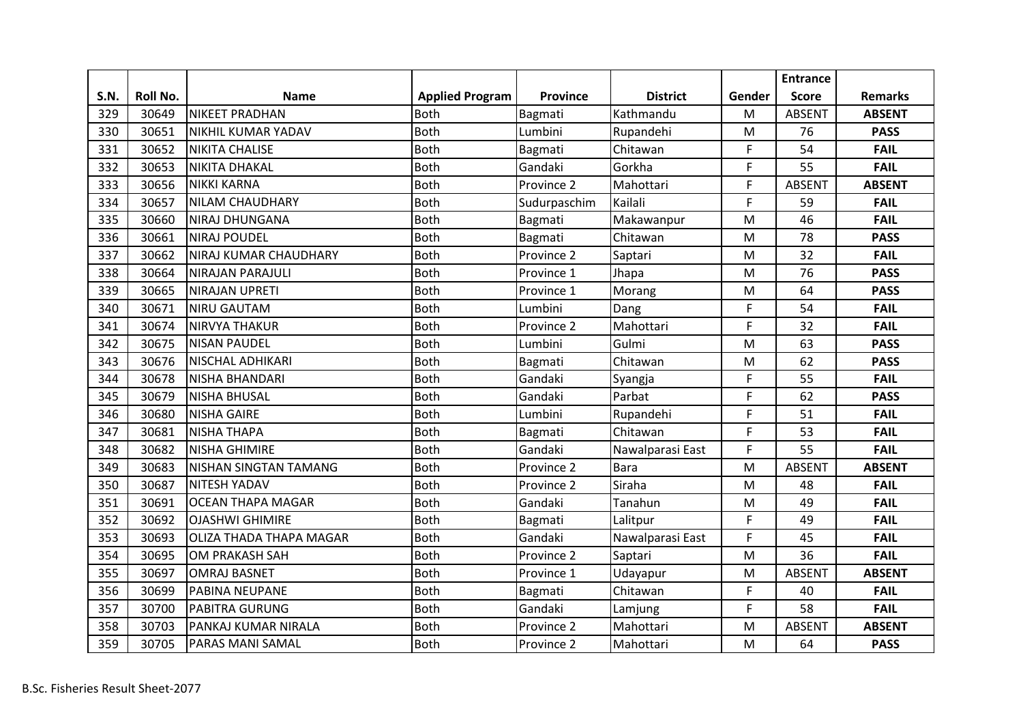|             |          |                              |                        |                 |                  |        | <b>Entrance</b> |                |
|-------------|----------|------------------------------|------------------------|-----------------|------------------|--------|-----------------|----------------|
| <b>S.N.</b> | Roll No. | <b>Name</b>                  | <b>Applied Program</b> | <b>Province</b> | <b>District</b>  | Gender | <b>Score</b>    | <b>Remarks</b> |
| 329         | 30649    | <b>NIKEET PRADHAN</b>        | <b>Both</b>            | Bagmati         | Kathmandu        | M      | <b>ABSENT</b>   | <b>ABSENT</b>  |
| 330         | 30651    | NIKHIL KUMAR YADAV           | <b>Both</b>            | Lumbini         | Rupandehi        | M      | 76              | <b>PASS</b>    |
| 331         | 30652    | <b>NIKITA CHALISE</b>        | <b>Both</b>            | Bagmati         | Chitawan         | F      | 54              | <b>FAIL</b>    |
| 332         | 30653    | <b>NIKITA DHAKAL</b>         | <b>Both</b>            | Gandaki         | Gorkha           | F      | 55              | <b>FAIL</b>    |
| 333         | 30656    | <b>NIKKI KARNA</b>           | <b>Both</b>            | Province 2      | Mahottari        | F      | <b>ABSENT</b>   | <b>ABSENT</b>  |
| 334         | 30657    | NILAM CHAUDHARY              | <b>Both</b>            | Sudurpaschim    | Kailali          | F      | 59              | <b>FAIL</b>    |
| 335         | 30660    | <b>NIRAJ DHUNGANA</b>        | <b>Both</b>            | Bagmati         | Makawanpur       | M      | 46              | <b>FAIL</b>    |
| 336         | 30661    | <b>NIRAJ POUDEL</b>          | <b>Both</b>            | Bagmati         | Chitawan         | M      | 78              | <b>PASS</b>    |
| 337         | 30662    | <b>NIRAJ KUMAR CHAUDHARY</b> | <b>Both</b>            | Province 2      | Saptari          | M      | 32              | <b>FAIL</b>    |
| 338         | 30664    | NIRAJAN PARAJULI             | <b>Both</b>            | Province 1      | Jhapa            | M      | 76              | <b>PASS</b>    |
| 339         | 30665    | NIRAJAN UPRETI               | <b>Both</b>            | Province 1      | Morang           | M      | 64              | <b>PASS</b>    |
| 340         | 30671    | <b>NIRU GAUTAM</b>           | <b>Both</b>            | Lumbini         | Dang             | F      | 54              | <b>FAIL</b>    |
| 341         | 30674    | <b>NIRVYA THAKUR</b>         | <b>Both</b>            | Province 2      | Mahottari        | F      | 32              | <b>FAIL</b>    |
| 342         | 30675    | <b>NISAN PAUDEL</b>          | <b>Both</b>            | Lumbini         | Gulmi            | M      | 63              | <b>PASS</b>    |
| 343         | 30676    | <b>NISCHAL ADHIKARI</b>      | <b>Both</b>            | Bagmati         | Chitawan         | M      | 62              | <b>PASS</b>    |
| 344         | 30678    | <b>NISHA BHANDARI</b>        | <b>Both</b>            | Gandaki         | Syangja          | F      | 55              | <b>FAIL</b>    |
| 345         | 30679    | <b>NISHA BHUSAL</b>          | <b>Both</b>            | Gandaki         | Parbat           | F      | 62              | <b>PASS</b>    |
| 346         | 30680    | <b>NISHA GAIRE</b>           | <b>Both</b>            | Lumbini         | Rupandehi        | F      | 51              | <b>FAIL</b>    |
| 347         | 30681    | <b>NISHA THAPA</b>           | <b>Both</b>            | Bagmati         | Chitawan         | F      | 53              | <b>FAIL</b>    |
| 348         | 30682    | NISHA GHIMIRE                | <b>Both</b>            | Gandaki         | Nawalparasi East | F      | 55              | <b>FAIL</b>    |
| 349         | 30683    | NISHAN SINGTAN TAMANG        | <b>Both</b>            | Province 2      | <b>Bara</b>      | M      | <b>ABSENT</b>   | <b>ABSENT</b>  |
| 350         | 30687    | <b>NITESH YADAV</b>          | <b>Both</b>            | Province 2      | Siraha           | M      | 48              | <b>FAIL</b>    |
| 351         | 30691    | <b>OCEAN THAPA MAGAR</b>     | <b>Both</b>            | Gandaki         | Tanahun          | M      | 49              | <b>FAIL</b>    |
| 352         | 30692    | <b>OJASHWI GHIMIRE</b>       | <b>Both</b>            | Bagmati         | Lalitpur         | F      | 49              | <b>FAIL</b>    |
| 353         | 30693    | OLIZA THADA THAPA MAGAR      | <b>Both</b>            | Gandaki         | Nawalparasi East | F      | 45              | <b>FAIL</b>    |
| 354         | 30695    | OM PRAKASH SAH               | <b>Both</b>            | Province 2      | Saptari          | M      | 36              | <b>FAIL</b>    |
| 355         | 30697    | <b>OMRAJ BASNET</b>          | <b>Both</b>            | Province 1      | Udayapur         | M      | <b>ABSENT</b>   | <b>ABSENT</b>  |
| 356         | 30699    | <b>PABINA NEUPANE</b>        | <b>Both</b>            | Bagmati         | Chitawan         | F      | 40              | <b>FAIL</b>    |
| 357         | 30700    | PABITRA GURUNG               | <b>Both</b>            | Gandaki         | Lamjung          | F      | 58              | <b>FAIL</b>    |
| 358         | 30703    | PANKAJ KUMAR NIRALA          | <b>Both</b>            | Province 2      | Mahottari        | M      | <b>ABSENT</b>   | <b>ABSENT</b>  |
| 359         | 30705    | <b>PARAS MANI SAMAL</b>      | <b>Both</b>            | Province 2      | Mahottari        | M      | 64              | <b>PASS</b>    |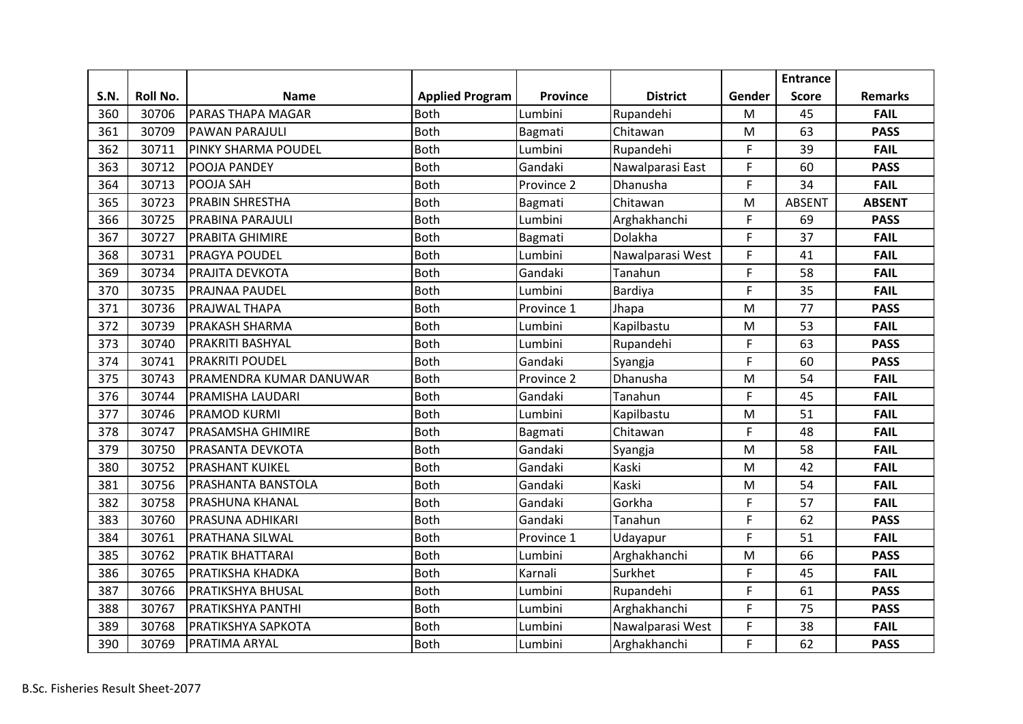|      |          |                            |                        |                 |                  |           | <b>Entrance</b> |                |
|------|----------|----------------------------|------------------------|-----------------|------------------|-----------|-----------------|----------------|
| S.N. | Roll No. | <b>Name</b>                | <b>Applied Program</b> | <b>Province</b> | <b>District</b>  | Gender    | <b>Score</b>    | <b>Remarks</b> |
| 360  | 30706    | <b>PARAS THAPA MAGAR</b>   | <b>Both</b>            | Lumbini         | Rupandehi        | M         | 45              | <b>FAIL</b>    |
| 361  | 30709    | PAWAN PARAJULI             | <b>Both</b>            | Bagmati         | Chitawan         | M         | 63              | <b>PASS</b>    |
| 362  | 30711    | <b>PINKY SHARMA POUDEL</b> | <b>Both</b>            | Lumbini         | Rupandehi        | F         | 39              | <b>FAIL</b>    |
| 363  | 30712    | POOJA PANDEY               | <b>Both</b>            | Gandaki         | Nawalparasi East | F         | 60              | <b>PASS</b>    |
| 364  | 30713    | POOJA SAH                  | <b>Both</b>            | Province 2      | Dhanusha         | F         | 34              | <b>FAIL</b>    |
| 365  | 30723    | <b>PRABIN SHRESTHA</b>     | <b>Both</b>            | Bagmati         | Chitawan         | M         | <b>ABSENT</b>   | <b>ABSENT</b>  |
| 366  | 30725    | PRABINA PARAJULI           | <b>Both</b>            | Lumbini         | Arghakhanchi     | F         | 69              | <b>PASS</b>    |
| 367  | 30727    | <b>PRABITA GHIMIRE</b>     | <b>Both</b>            | Bagmati         | Dolakha          | F         | 37              | <b>FAIL</b>    |
| 368  | 30731    | <b>PRAGYA POUDEL</b>       | <b>Both</b>            | Lumbini         | Nawalparasi West | F         | 41              | <b>FAIL</b>    |
| 369  | 30734    | PRAJITA DEVKOTA            | <b>Both</b>            | Gandaki         | Tanahun          | F         | 58              | <b>FAIL</b>    |
| 370  | 30735    | PRAJNAA PAUDEL             | Both                   | Lumbini         | Bardiya          | F         | 35              | <b>FAIL</b>    |
| 371  | 30736    | PRAJWAL THAPA              | <b>Both</b>            | Province 1      | Jhapa            | M         | 77              | <b>PASS</b>    |
| 372  | 30739    | PRAKASH SHARMA             | <b>Both</b>            | Lumbini         | Kapilbastu       | M         | 53              | <b>FAIL</b>    |
| 373  | 30740    | PRAKRITI BASHYAL           | <b>Both</b>            | Lumbini         | Rupandehi        | F         | 63              | <b>PASS</b>    |
| 374  | 30741    | <b>PRAKRITI POUDEL</b>     | <b>Both</b>            | Gandaki         | Syangja          | F         | 60              | <b>PASS</b>    |
| 375  | 30743    | PRAMENDRA KUMAR DANUWAR    | <b>Both</b>            | Province 2      | Dhanusha         | M         | 54              | <b>FAIL</b>    |
| 376  | 30744    | PRAMISHA LAUDARI           | <b>Both</b>            | Gandaki         | Tanahun          | F         | 45              | <b>FAIL</b>    |
| 377  | 30746    | <b>PRAMOD KURMI</b>        | <b>Both</b>            | Lumbini         | Kapilbastu       | M         | 51              | <b>FAIL</b>    |
| 378  | 30747    | PRASAMSHA GHIMIRE          | <b>Both</b>            | Bagmati         | Chitawan         | F         | 48              | <b>FAIL</b>    |
| 379  | 30750    | <b>PRASANTA DEVKOTA</b>    | <b>Both</b>            | Gandaki         | Syangja          | M         | 58              | <b>FAIL</b>    |
| 380  | 30752    | <b>PRASHANT KUIKEL</b>     | <b>Both</b>            | Gandaki         | Kaski            | M         | 42              | <b>FAIL</b>    |
| 381  | 30756    | PRASHANTA BANSTOLA         | <b>Both</b>            | Gandaki         | Kaski            | M         | 54              | <b>FAIL</b>    |
| 382  | 30758    | <b>PRASHUNA KHANAL</b>     | <b>Both</b>            | Gandaki         | Gorkha           | F         | 57              | <b>FAIL</b>    |
| 383  | 30760    | <b>PRASUNA ADHIKARI</b>    | <b>Both</b>            | Gandaki         | Tanahun          | F         | 62              | <b>PASS</b>    |
| 384  | 30761    | PRATHANA SILWAL            | <b>Both</b>            | Province 1      | Udayapur         | F         | 51              | <b>FAIL</b>    |
| 385  | 30762    | <b>PRATIK BHATTARAI</b>    | <b>Both</b>            | Lumbini         | Arghakhanchi     | ${\sf M}$ | 66              | <b>PASS</b>    |
| 386  | 30765    | <b>PRATIKSHA KHADKA</b>    | <b>Both</b>            | Karnali         | Surkhet          | F         | 45              | <b>FAIL</b>    |
| 387  | 30766    | <b>PRATIKSHYA BHUSAL</b>   | <b>Both</b>            | Lumbini         | Rupandehi        | F         | 61              | <b>PASS</b>    |
| 388  | 30767    | PRATIKSHYA PANTHI          | <b>Both</b>            | Lumbini         | Arghakhanchi     | F         | 75              | <b>PASS</b>    |
| 389  | 30768    | PRATIKSHYA SAPKOTA         | <b>Both</b>            | Lumbini         | Nawalparasi West | F         | 38              | <b>FAIL</b>    |
| 390  | 30769    | <b>PRATIMA ARYAL</b>       | <b>Both</b>            | Lumbini         | Arghakhanchi     | F         | 62              | <b>PASS</b>    |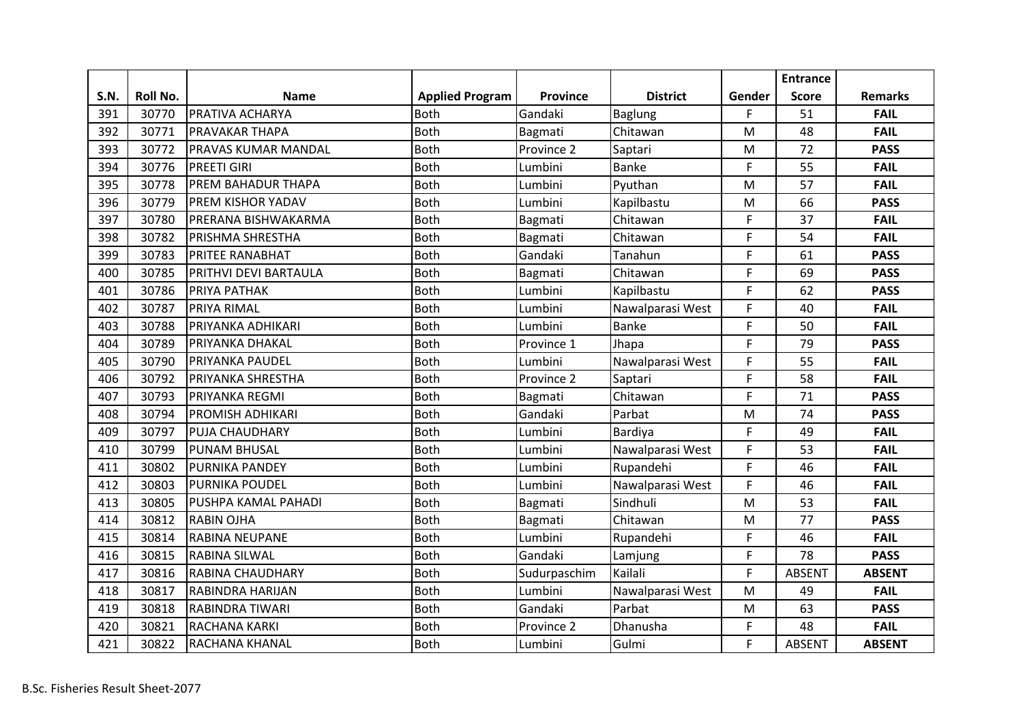|      |          |                            |                        |              |                  |        | <b>Entrance</b> |                |
|------|----------|----------------------------|------------------------|--------------|------------------|--------|-----------------|----------------|
| S.N. | Roll No. | <b>Name</b>                | <b>Applied Program</b> | Province     | <b>District</b>  | Gender | <b>Score</b>    | <b>Remarks</b> |
| 391  | 30770    | <b>PRATIVA ACHARYA</b>     | <b>Both</b>            | Gandaki      | <b>Baglung</b>   | F.     | 51              | <b>FAIL</b>    |
| 392  | 30771    | <b>PRAVAKAR THAPA</b>      | <b>Both</b>            | Bagmati      | Chitawan         | M      | 48              | <b>FAIL</b>    |
| 393  | 30772    | <b>PRAVAS KUMAR MANDAL</b> | <b>Both</b>            | Province 2   | Saptari          | M      | 72              | <b>PASS</b>    |
| 394  | 30776    | <b>PREETI GIRI</b>         | <b>Both</b>            | Lumbini      | Banke            | F      | 55              | <b>FAIL</b>    |
| 395  | 30778    | <b>PREM BAHADUR THAPA</b>  | <b>Both</b>            | Lumbini      | Pyuthan          | M      | 57              | <b>FAIL</b>    |
| 396  | 30779    | PREM KISHOR YADAV          | <b>Both</b>            | Lumbini      | Kapilbastu       | M      | 66              | <b>PASS</b>    |
| 397  | 30780    | PRERANA BISHWAKARMA        | <b>Both</b>            | Bagmati      | Chitawan         | F      | 37              | <b>FAIL</b>    |
| 398  | 30782    | <b>PRISHMA SHRESTHA</b>    | <b>Both</b>            | Bagmati      | Chitawan         | F      | 54              | <b>FAIL</b>    |
| 399  | 30783    | <b>PRITEE RANABHAT</b>     | <b>Both</b>            | Gandaki      | Tanahun          | F      | 61              | <b>PASS</b>    |
| 400  | 30785    | PRITHVI DEVI BARTAULA      | <b>Both</b>            | Bagmati      | Chitawan         | F      | 69              | <b>PASS</b>    |
| 401  | 30786    | PRIYA PATHAK               | <b>Both</b>            | Lumbini      | Kapilbastu       | F      | 62              | <b>PASS</b>    |
| 402  | 30787    | <b>PRIYA RIMAL</b>         | <b>Both</b>            | Lumbini      | Nawalparasi West | F      | 40              | <b>FAIL</b>    |
| 403  | 30788    | PRIYANKA ADHIKARI          | <b>Both</b>            | Lumbini      | <b>Banke</b>     | F      | 50              | <b>FAIL</b>    |
| 404  | 30789    | PRIYANKA DHAKAL            | <b>Both</b>            | Province 1   | Jhapa            | F      | 79              | <b>PASS</b>    |
| 405  | 30790    | PRIYANKA PAUDEL            | <b>Both</b>            | Lumbini      | Nawalparasi West | F      | 55              | <b>FAIL</b>    |
| 406  | 30792    | <b>PRIYANKA SHRESTHA</b>   | <b>Both</b>            | Province 2   | Saptari          | F      | 58              | <b>FAIL</b>    |
| 407  | 30793    | PRIYANKA REGMI             | <b>Both</b>            | Bagmati      | Chitawan         | F      | 71              | <b>PASS</b>    |
| 408  | 30794    | PROMISH ADHIKARI           | <b>Both</b>            | Gandaki      | Parbat           | M      | 74              | <b>PASS</b>    |
| 409  | 30797    | PUJA CHAUDHARY             | <b>Both</b>            | Lumbini      | Bardiya          | F      | 49              | <b>FAIL</b>    |
| 410  | 30799    | <b>PUNAM BHUSAL</b>        | <b>Both</b>            | Lumbini      | Nawalparasi West | F      | 53              | <b>FAIL</b>    |
| 411  | 30802    | <b>PURNIKA PANDEY</b>      | <b>Both</b>            | Lumbini      | Rupandehi        | F      | 46              | <b>FAIL</b>    |
| 412  | 30803    | <b>PURNIKA POUDEL</b>      | <b>Both</b>            | Lumbini      | Nawalparasi West | F      | 46              | <b>FAIL</b>    |
| 413  | 30805    | PUSHPA KAMAL PAHADI        | <b>Both</b>            | Bagmati      | Sindhuli         | M      | 53              | <b>FAIL</b>    |
| 414  | 30812    | <b>RABIN OJHA</b>          | <b>Both</b>            | Bagmati      | Chitawan         | M      | 77              | <b>PASS</b>    |
| 415  | 30814    | <b>RABINA NEUPANE</b>      | <b>Both</b>            | Lumbini      | Rupandehi        | F      | 46              | <b>FAIL</b>    |
| 416  | 30815    | <b>RABINA SILWAL</b>       | <b>Both</b>            | Gandaki      | Lamjung          | F      | 78              | <b>PASS</b>    |
| 417  | 30816    | <b>RABINA CHAUDHARY</b>    | <b>Both</b>            | Sudurpaschim | Kailali          | F.     | <b>ABSENT</b>   | <b>ABSENT</b>  |
| 418  | 30817    | <b>RABINDRA HARIJAN</b>    | <b>Both</b>            | Lumbini      | Nawalparasi West | M      | 49              | <b>FAIL</b>    |
| 419  | 30818    | <b>RABINDRA TIWARI</b>     | <b>Both</b>            | Gandaki      | Parbat           | M      | 63              | <b>PASS</b>    |
| 420  | 30821    | RACHANA KARKI              | <b>Both</b>            | Province 2   | Dhanusha         | F      | 48              | <b>FAIL</b>    |
| 421  | 30822    | RACHANA KHANAL             | <b>Both</b>            | Lumbini      | Gulmi            | F      | <b>ABSENT</b>   | <b>ABSENT</b>  |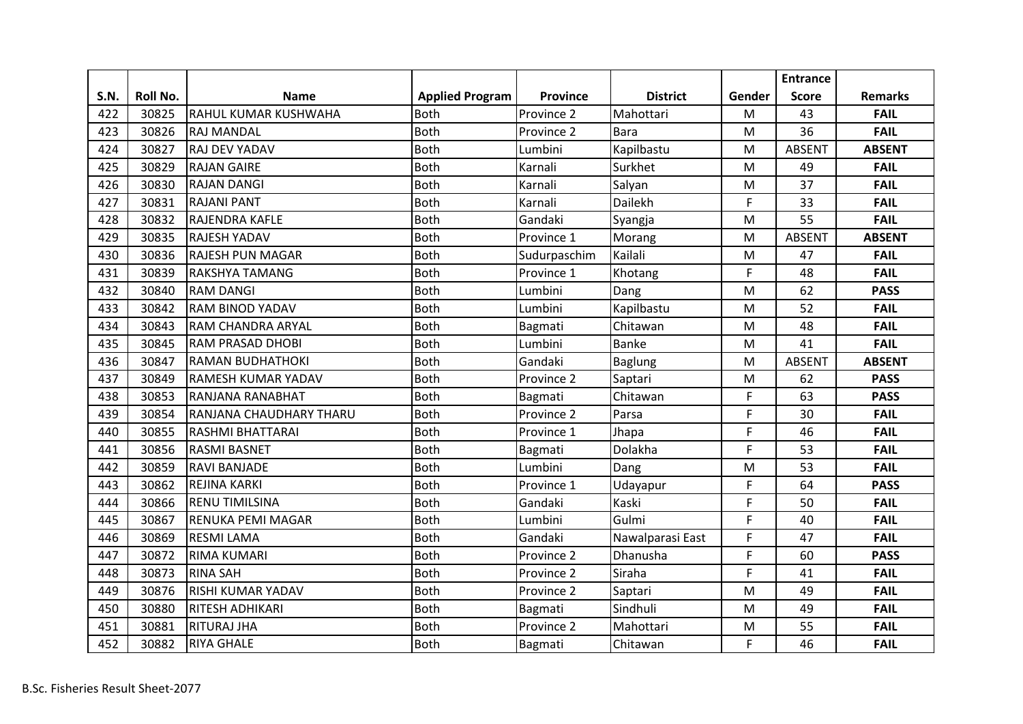|             |          |                             |                        |                 |                  |        | <b>Entrance</b> |                |
|-------------|----------|-----------------------------|------------------------|-----------------|------------------|--------|-----------------|----------------|
| <b>S.N.</b> | Roll No. | <b>Name</b>                 | <b>Applied Program</b> | <b>Province</b> | <b>District</b>  | Gender | <b>Score</b>    | <b>Remarks</b> |
| 422         | 30825    | <b>RAHUL KUMAR KUSHWAHA</b> | <b>Both</b>            | Province 2      | Mahottari        | M      | 43              | <b>FAIL</b>    |
| 423         | 30826    | <b>RAJ MANDAL</b>           | <b>Both</b>            | Province 2      | <b>Bara</b>      | M      | 36              | <b>FAIL</b>    |
| 424         | 30827    | RAJ DEV YADAV               | <b>Both</b>            | Lumbini         | Kapilbastu       | M      | <b>ABSENT</b>   | <b>ABSENT</b>  |
| 425         | 30829    | <b>RAJAN GAIRE</b>          | <b>Both</b>            | Karnali         | Surkhet          | M      | 49              | <b>FAIL</b>    |
| 426         | 30830    | <b>RAJAN DANGI</b>          | <b>Both</b>            | Karnali         | Salyan           | M      | 37              | <b>FAIL</b>    |
| 427         | 30831    | <b>RAJANI PANT</b>          | <b>Both</b>            | Karnali         | Dailekh          | F      | 33              | <b>FAIL</b>    |
| 428         | 30832    | <b>RAJENDRA KAFLE</b>       | <b>Both</b>            | Gandaki         | Syangja          | M      | 55              | <b>FAIL</b>    |
| 429         | 30835    | <b>RAJESH YADAV</b>         | <b>Both</b>            | Province 1      | Morang           | M      | <b>ABSENT</b>   | <b>ABSENT</b>  |
| 430         | 30836    | <b>RAJESH PUN MAGAR</b>     | <b>Both</b>            | Sudurpaschim    | Kailali          | M      | 47              | <b>FAIL</b>    |
| 431         | 30839    | <b>RAKSHYA TAMANG</b>       | <b>Both</b>            | Province 1      | Khotang          | F      | 48              | <b>FAIL</b>    |
| 432         | 30840    | <b>RAM DANGI</b>            | <b>Both</b>            | Lumbini         | Dang             | M      | 62              | <b>PASS</b>    |
| 433         | 30842    | <b>RAM BINOD YADAV</b>      | <b>Both</b>            | Lumbini         | Kapilbastu       | M      | 52              | <b>FAIL</b>    |
| 434         | 30843    | <b>RAM CHANDRA ARYAL</b>    | <b>Both</b>            | Bagmati         | Chitawan         | M      | 48              | <b>FAIL</b>    |
| 435         | 30845    | <b>RAM PRASAD DHOBI</b>     | <b>Both</b>            | Lumbini         | <b>Banke</b>     | M      | 41              | <b>FAIL</b>    |
| 436         | 30847    | <b>RAMAN BUDHATHOKI</b>     | Both                   | Gandaki         | Baglung          | M      | <b>ABSENT</b>   | <b>ABSENT</b>  |
| 437         | 30849    | <b>RAMESH KUMAR YADAV</b>   | <b>Both</b>            | Province 2      | Saptari          | M      | 62              | <b>PASS</b>    |
| 438         | 30853    | RANJANA RANABHAT            | <b>Both</b>            | Bagmati         | Chitawan         | F      | 63              | <b>PASS</b>    |
| 439         | 30854    | RANJANA CHAUDHARY THARU     | <b>Both</b>            | Province 2      | Parsa            | F      | 30              | <b>FAIL</b>    |
| 440         | 30855    | RASHMI BHATTARAI            | <b>Both</b>            | Province 1      | Jhapa            | F      | 46              | <b>FAIL</b>    |
| 441         | 30856    | <b>RASMI BASNET</b>         | <b>Both</b>            | Bagmati         | Dolakha          | F      | 53              | <b>FAIL</b>    |
| 442         | 30859    | <b>RAVI BANJADE</b>         | <b>Both</b>            | Lumbini         | Dang             | M      | 53              | <b>FAIL</b>    |
| 443         | 30862    | <b>REJINA KARKI</b>         | <b>Both</b>            | Province 1      | Udayapur         | F      | 64              | <b>PASS</b>    |
| 444         | 30866    | <b>RENU TIMILSINA</b>       | <b>Both</b>            | Gandaki         | Kaski            | F      | 50              | <b>FAIL</b>    |
| 445         | 30867    | <b>RENUKA PEMI MAGAR</b>    | <b>Both</b>            | Lumbini         | Gulmi            | F      | 40              | <b>FAIL</b>    |
| 446         | 30869    | <b>RESMI LAMA</b>           | <b>Both</b>            | Gandaki         | Nawalparasi East | F      | 47              | <b>FAIL</b>    |
| 447         | 30872    | <b>RIMA KUMARI</b>          | <b>Both</b>            | Province 2      | Dhanusha         | F      | 60              | <b>PASS</b>    |
| 448         | 30873    | <b>RINA SAH</b>             | <b>Both</b>            | Province 2      | Siraha           | F      | 41              | <b>FAIL</b>    |
| 449         | 30876    | <b>RISHI KUMAR YADAV</b>    | <b>Both</b>            | Province 2      | Saptari          | M      | 49              | <b>FAIL</b>    |
| 450         | 30880    | <b>RITESH ADHIKARI</b>      | <b>Both</b>            | Bagmati         | Sindhuli         | M      | 49              | <b>FAIL</b>    |
| 451         | 30881    | <b>RITURAJ JHA</b>          | <b>Both</b>            | Province 2      | Mahottari        | M      | 55              | <b>FAIL</b>    |
| 452         | 30882    | <b>RIYA GHALE</b>           | <b>Both</b>            | Bagmati         | Chitawan         | F      | 46              | <b>FAIL</b>    |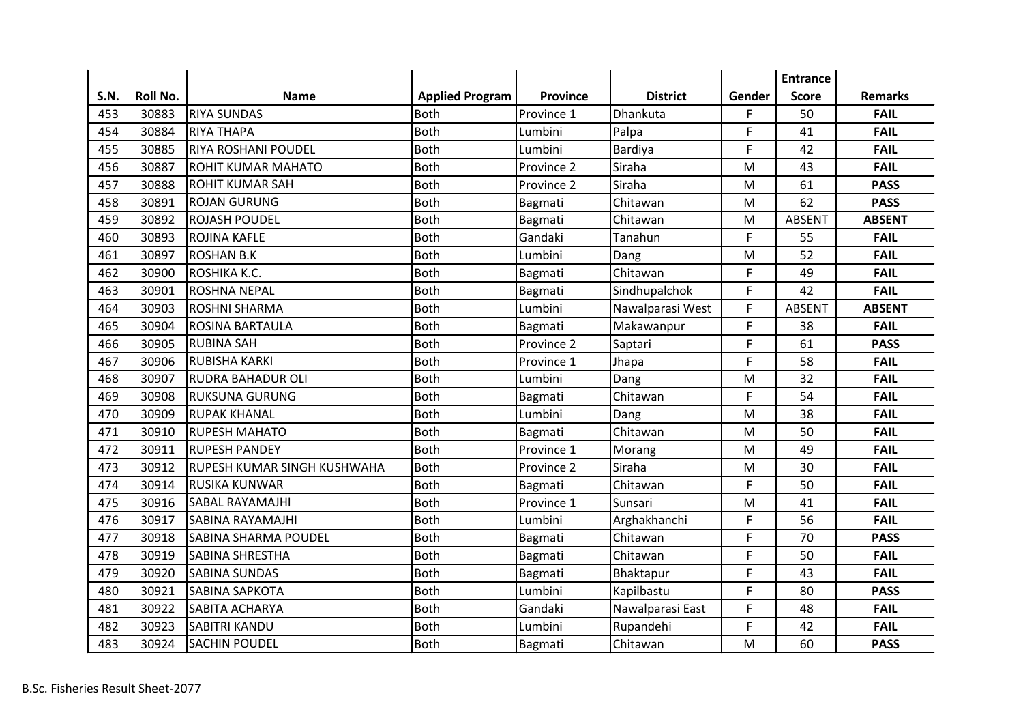|      |                 |                             |                        |            |                  |        | <b>Entrance</b> |                |
|------|-----------------|-----------------------------|------------------------|------------|------------------|--------|-----------------|----------------|
| S.N. | <b>Roll No.</b> | <b>Name</b>                 | <b>Applied Program</b> | Province   | <b>District</b>  | Gender | <b>Score</b>    | <b>Remarks</b> |
| 453  | 30883           | <b>RIYA SUNDAS</b>          | Both                   | Province 1 | Dhankuta         | F.     | 50              | <b>FAIL</b>    |
| 454  | 30884           | <b>RIYA THAPA</b>           | <b>Both</b>            | Lumbini    | Palpa            | F      | 41              | <b>FAIL</b>    |
| 455  | 30885           | <b>RIYA ROSHANI POUDEL</b>  | <b>Both</b>            | Lumbini    | Bardiya          | F      | 42              | <b>FAIL</b>    |
| 456  | 30887           | <b>ROHIT KUMAR MAHATO</b>   | <b>Both</b>            | Province 2 | Siraha           | M      | 43              | <b>FAIL</b>    |
| 457  | 30888           | <b>ROHIT KUMAR SAH</b>      | <b>Both</b>            | Province 2 | Siraha           | M      | 61              | <b>PASS</b>    |
| 458  | 30891           | <b>ROJAN GURUNG</b>         | <b>Both</b>            | Bagmati    | Chitawan         | M      | 62              | <b>PASS</b>    |
| 459  | 30892           | <b>ROJASH POUDEL</b>        | <b>Both</b>            | Bagmati    | Chitawan         | M      | <b>ABSENT</b>   | <b>ABSENT</b>  |
| 460  | 30893           | <b>ROJINA KAFLE</b>         | <b>Both</b>            | Gandaki    | Tanahun          | F      | 55              | <b>FAIL</b>    |
| 461  | 30897           | <b>ROSHAN B.K</b>           | <b>Both</b>            | Lumbini    | Dang             | M      | 52              | <b>FAIL</b>    |
| 462  | 30900           | ROSHIKA K.C.                | <b>Both</b>            | Bagmati    | Chitawan         | F      | 49              | <b>FAIL</b>    |
| 463  | 30901           | <b>ROSHNA NEPAL</b>         | <b>Both</b>            | Bagmati    | Sindhupalchok    | F      | 42              | <b>FAIL</b>    |
| 464  | 30903           | <b>ROSHNI SHARMA</b>        | <b>Both</b>            | Lumbini    | Nawalparasi West | F      | <b>ABSENT</b>   | <b>ABSENT</b>  |
| 465  | 30904           | <b>ROSINA BARTAULA</b>      | Both                   | Bagmati    | Makawanpur       | F      | 38              | <b>FAIL</b>    |
| 466  | 30905           | <b>RUBINA SAH</b>           | <b>Both</b>            | Province 2 | Saptari          | F      | 61              | <b>PASS</b>    |
| 467  | 30906           | RUBISHA KARKI               | <b>Both</b>            | Province 1 | Jhapa            | F      | 58              | <b>FAIL</b>    |
| 468  | 30907           | <b>RUDRA BAHADUR OLI</b>    | <b>Both</b>            | Lumbini    | Dang             | M      | 32              | <b>FAIL</b>    |
| 469  | 30908           | <b>RUKSUNA GURUNG</b>       | <b>Both</b>            | Bagmati    | Chitawan         | F      | 54              | <b>FAIL</b>    |
| 470  | 30909           | <b>RUPAK KHANAL</b>         | <b>Both</b>            | Lumbini    | Dang             | M      | 38              | <b>FAIL</b>    |
| 471  | 30910           | <b>RUPESH MAHATO</b>        | Both                   | Bagmati    | Chitawan         | M      | 50              | <b>FAIL</b>    |
| 472  | 30911           | <b>RUPESH PANDEY</b>        | <b>Both</b>            | Province 1 | Morang           | M      | 49              | <b>FAIL</b>    |
| 473  | 30912           | RUPESH KUMAR SINGH KUSHWAHA | Both                   | Province 2 | Siraha           | M      | 30              | <b>FAIL</b>    |
| 474  | 30914           | <b>RUSIKA KUNWAR</b>        | <b>Both</b>            | Bagmati    | Chitawan         | F      | 50              | <b>FAIL</b>    |
| 475  | 30916           | SABAL RAYAMAJHI             | <b>Both</b>            | Province 1 | Sunsari          | M      | 41              | <b>FAIL</b>    |
| 476  | 30917           | SABINA RAYAMAJHI            | <b>Both</b>            | Lumbini    | Arghakhanchi     | F      | 56              | <b>FAIL</b>    |
| 477  | 30918           | <b>SABINA SHARMA POUDEL</b> | <b>Both</b>            | Bagmati    | Chitawan         | F      | 70              | <b>PASS</b>    |
| 478  | 30919           | <b>SABINA SHRESTHA</b>      | <b>Both</b>            | Bagmati    | Chitawan         | F      | 50              | <b>FAIL</b>    |
| 479  | 30920           | <b>SABINA SUNDAS</b>        | <b>Both</b>            | Bagmati    | Bhaktapur        | F      | 43              | <b>FAIL</b>    |
| 480  | 30921           | SABINA SAPKOTA              | <b>Both</b>            | Lumbini    | Kapilbastu       | F      | 80              | <b>PASS</b>    |
| 481  | 30922           | SABITA ACHARYA              | <b>Both</b>            | Gandaki    | Nawalparasi East | F      | 48              | <b>FAIL</b>    |
| 482  | 30923           | <b>SABITRI KANDU</b>        | Both                   | Lumbini    | Rupandehi        | F      | 42              | <b>FAIL</b>    |
| 483  | 30924           | <b>SACHIN POUDEL</b>        | <b>Both</b>            | Bagmati    | Chitawan         | M      | 60              | <b>PASS</b>    |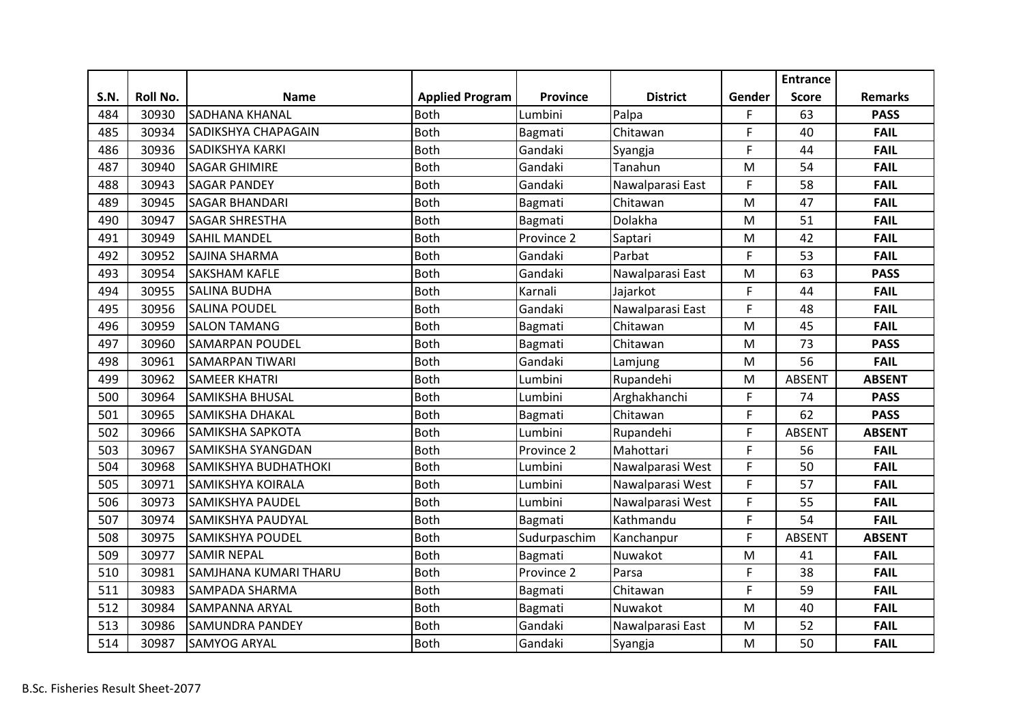|      |          |                             |                        |                 |                  |        | <b>Entrance</b> |                |
|------|----------|-----------------------------|------------------------|-----------------|------------------|--------|-----------------|----------------|
| S.N. | Roll No. | <b>Name</b>                 | <b>Applied Program</b> | <b>Province</b> | <b>District</b>  | Gender | <b>Score</b>    | <b>Remarks</b> |
| 484  | 30930    | <b>SADHANA KHANAL</b>       | <b>Both</b>            | Lumbini         | Palpa            | F.     | 63              | <b>PASS</b>    |
| 485  | 30934    | SADIKSHYA CHAPAGAIN         | <b>Both</b>            | Bagmati         | Chitawan         | F      | 40              | <b>FAIL</b>    |
| 486  | 30936    | <b>SADIKSHYA KARKI</b>      | <b>Both</b>            | Gandaki         | Syangja          | F      | 44              | <b>FAIL</b>    |
| 487  | 30940    | <b>SAGAR GHIMIRE</b>        | <b>Both</b>            | Gandaki         | Tanahun          | M      | 54              | <b>FAIL</b>    |
| 488  | 30943    | <b>SAGAR PANDEY</b>         | <b>Both</b>            | Gandaki         | Nawalparasi East | F      | 58              | <b>FAIL</b>    |
| 489  | 30945    | <b>SAGAR BHANDARI</b>       | <b>Both</b>            | Bagmati         | Chitawan         | M      | 47              | <b>FAIL</b>    |
| 490  | 30947    | <b>SAGAR SHRESTHA</b>       | <b>Both</b>            | Bagmati         | Dolakha          | M      | 51              | <b>FAIL</b>    |
| 491  | 30949    | <b>SAHIL MANDEL</b>         | <b>Both</b>            | Province 2      | Saptari          | M      | 42              | <b>FAIL</b>    |
| 492  | 30952    | <b>SAJINA SHARMA</b>        | <b>Both</b>            | Gandaki         | Parbat           | F      | 53              | <b>FAIL</b>    |
| 493  | 30954    | <b>SAKSHAM KAFLE</b>        | <b>Both</b>            | Gandaki         | Nawalparasi East | M      | 63              | <b>PASS</b>    |
| 494  | 30955    | <b>SALINA BUDHA</b>         | <b>Both</b>            | Karnali         | Jajarkot         | F      | 44              | <b>FAIL</b>    |
| 495  | 30956    | <b>SALINA POUDEL</b>        | <b>Both</b>            | Gandaki         | Nawalparasi East | F      | 48              | <b>FAIL</b>    |
| 496  | 30959    | <b>SALON TAMANG</b>         | <b>Both</b>            | Bagmati         | Chitawan         | M      | 45              | <b>FAIL</b>    |
| 497  | 30960    | <b>SAMARPAN POUDEL</b>      | <b>Both</b>            | Bagmati         | Chitawan         | M      | 73              | <b>PASS</b>    |
| 498  | 30961    | <b>SAMARPAN TIWARI</b>      | <b>Both</b>            | Gandaki         | Lamjung          | M      | 56              | <b>FAIL</b>    |
| 499  | 30962    | <b>SAMEER KHATRI</b>        | <b>Both</b>            | Lumbini         | Rupandehi        | M      | <b>ABSENT</b>   | <b>ABSENT</b>  |
| 500  | 30964    | <b>SAMIKSHA BHUSAL</b>      | Both                   | Lumbini         | Arghakhanchi     | F      | 74              | <b>PASS</b>    |
| 501  | 30965    | <b>SAMIKSHA DHAKAL</b>      | <b>Both</b>            | Bagmati         | Chitawan         | F      | 62              | <b>PASS</b>    |
| 502  | 30966    | SAMIKSHA SAPKOTA            | <b>Both</b>            | Lumbini         | Rupandehi        | F      | <b>ABSENT</b>   | <b>ABSENT</b>  |
| 503  | 30967    | <b>SAMIKSHA SYANGDAN</b>    | <b>Both</b>            | Province 2      | Mahottari        | F      | 56              | <b>FAIL</b>    |
| 504  | 30968    | <b>SAMIKSHYA BUDHATHOKI</b> | <b>Both</b>            | Lumbini         | Nawalparasi West | F      | 50              | <b>FAIL</b>    |
| 505  | 30971    | <b>SAMIKSHYA KOIRALA</b>    | <b>Both</b>            | Lumbini         | Nawalparasi West | F      | 57              | <b>FAIL</b>    |
| 506  | 30973    | <b>SAMIKSHYA PAUDEL</b>     | <b>Both</b>            | Lumbini         | Nawalparasi West | F      | 55              | <b>FAIL</b>    |
| 507  | 30974    | SAMIKSHYA PAUDYAL           | <b>Both</b>            | Bagmati         | Kathmandu        | F      | 54              | <b>FAIL</b>    |
| 508  | 30975    | <b>SAMIKSHYA POUDEL</b>     | Both                   | Sudurpaschim    | Kanchanpur       | F      | <b>ABSENT</b>   | <b>ABSENT</b>  |
| 509  | 30977    | <b>SAMIR NEPAL</b>          | <b>Both</b>            | Bagmati         | Nuwakot          | M      | 41              | <b>FAIL</b>    |
| 510  | 30981    | SAMJHANA KUMARI THARU       | <b>Both</b>            | Province 2      | Parsa            | F      | 38              | <b>FAIL</b>    |
| 511  | 30983    | <b>SAMPADA SHARMA</b>       | <b>Both</b>            | Bagmati         | Chitawan         | F      | 59              | <b>FAIL</b>    |
| 512  | 30984    | <b>SAMPANNA ARYAL</b>       | Both                   | Bagmati         | Nuwakot          | M      | 40              | <b>FAIL</b>    |
| 513  | 30986    | <b>SAMUNDRA PANDEY</b>      | Both                   | Gandaki         | Nawalparasi East | M      | 52              | <b>FAIL</b>    |
| 514  | 30987    | <b>SAMYOG ARYAL</b>         | <b>Both</b>            | Gandaki         | Syangja          | M      | 50              | <b>FAIL</b>    |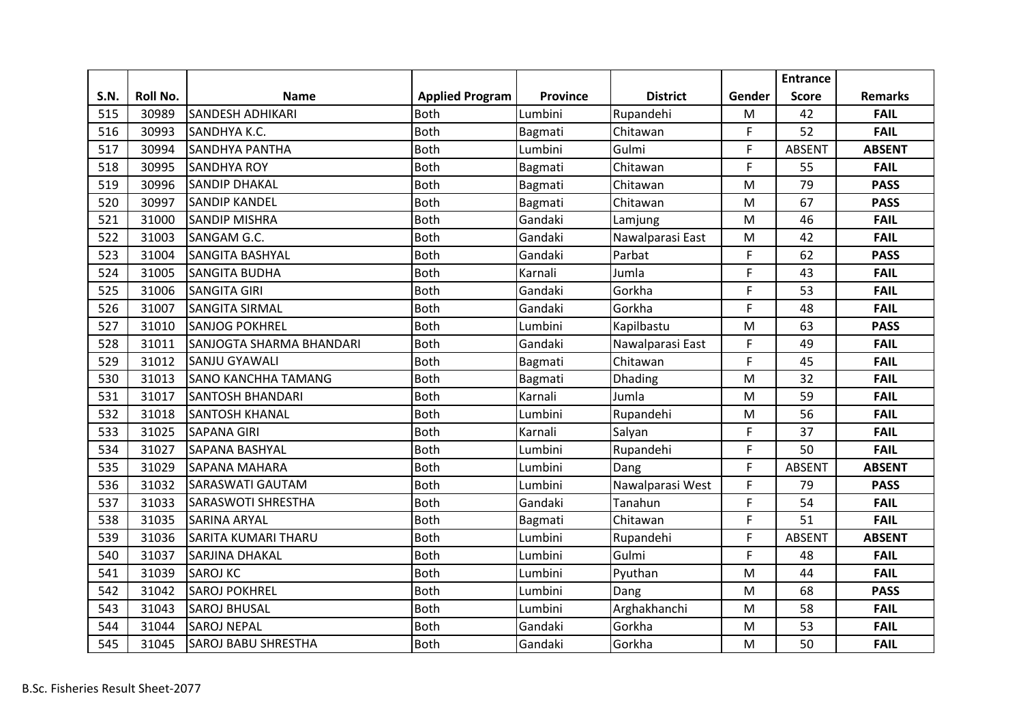|             |          |                            |                        |          |                  |        | <b>Entrance</b> |                |
|-------------|----------|----------------------------|------------------------|----------|------------------|--------|-----------------|----------------|
| <b>S.N.</b> | Roll No. | <b>Name</b>                | <b>Applied Program</b> | Province | <b>District</b>  | Gender | <b>Score</b>    | <b>Remarks</b> |
| 515         | 30989    | <b>SANDESH ADHIKARI</b>    | <b>Both</b>            | Lumbini  | Rupandehi        | M      | 42              | <b>FAIL</b>    |
| 516         | 30993    | SANDHYA K.C.               | <b>Both</b>            | Bagmati  | Chitawan         | F      | 52              | <b>FAIL</b>    |
| 517         | 30994    | <b>SANDHYA PANTHA</b>      | <b>Both</b>            | Lumbini  | Gulmi            | F      | <b>ABSENT</b>   | <b>ABSENT</b>  |
| 518         | 30995    | <b>SANDHYA ROY</b>         | <b>Both</b>            | Bagmati  | Chitawan         | F      | 55              | <b>FAIL</b>    |
| 519         | 30996    | <b>SANDIP DHAKAL</b>       | Both                   | Bagmati  | Chitawan         | M      | 79              | <b>PASS</b>    |
| 520         | 30997    | <b>SANDIP KANDEL</b>       | <b>Both</b>            | Bagmati  | Chitawan         | M      | 67              | <b>PASS</b>    |
| 521         | 31000    | <b>SANDIP MISHRA</b>       | <b>Both</b>            | Gandaki  | Lamjung          | M      | 46              | <b>FAIL</b>    |
| 522         | 31003    | SANGAM G.C.                | <b>Both</b>            | Gandaki  | Nawalparasi East | M      | 42              | <b>FAIL</b>    |
| 523         | 31004    | <b>SANGITA BASHYAL</b>     | <b>Both</b>            | Gandaki  | Parbat           | F      | 62              | <b>PASS</b>    |
| 524         | 31005    | <b>SANGITA BUDHA</b>       | <b>Both</b>            | Karnali  | Jumla            | F      | 43              | <b>FAIL</b>    |
| 525         | 31006    | <b>SANGITA GIRI</b>        | <b>Both</b>            | Gandaki  | Gorkha           | F      | 53              | <b>FAIL</b>    |
| 526         | 31007    | <b>SANGITA SIRMAL</b>      | <b>Both</b>            | Gandaki  | Gorkha           | F      | 48              | <b>FAIL</b>    |
| 527         | 31010    | <b>SANJOG POKHREL</b>      | <b>Both</b>            | Lumbini  | Kapilbastu       | M      | 63              | <b>PASS</b>    |
| 528         | 31011    | SANJOGTA SHARMA BHANDARI   | <b>Both</b>            | Gandaki  | Nawalparasi East | F      | 49              | <b>FAIL</b>    |
| 529         | 31012    | <b>SANJU GYAWALI</b>       | <b>Both</b>            | Bagmati  | Chitawan         | F      | 45              | <b>FAIL</b>    |
| 530         | 31013    | <b>SANO KANCHHA TAMANG</b> | <b>Both</b>            | Bagmati  | <b>Dhading</b>   | M      | 32              | <b>FAIL</b>    |
| 531         | 31017    | <b>SANTOSH BHANDARI</b>    | <b>Both</b>            | Karnali  | Jumla            | M      | 59              | <b>FAIL</b>    |
| 532         | 31018    | <b>SANTOSH KHANAL</b>      | <b>Both</b>            | Lumbini  | Rupandehi        | M      | 56              | <b>FAIL</b>    |
| 533         | 31025    | <b>SAPANA GIRI</b>         | Both                   | Karnali  | Salyan           | F      | 37              | <b>FAIL</b>    |
| 534         | 31027    | SAPANA BASHYAL             | <b>Both</b>            | Lumbini  | Rupandehi        | F      | 50              | <b>FAIL</b>    |
| 535         | 31029    | <b>SAPANA MAHARA</b>       | <b>Both</b>            | Lumbini  | Dang             | F      | <b>ABSENT</b>   | <b>ABSENT</b>  |
| 536         | 31032    | <b>SARASWATI GAUTAM</b>    | <b>Both</b>            | Lumbini  | Nawalparasi West | F      | 79              | <b>PASS</b>    |
| 537         | 31033    | <b>SARASWOTI SHRESTHA</b>  | <b>Both</b>            | Gandaki  | Tanahun          | F      | 54              | <b>FAIL</b>    |
| 538         | 31035    | <b>SARINA ARYAL</b>        | <b>Both</b>            | Bagmati  | Chitawan         | F      | 51              | <b>FAIL</b>    |
| 539         | 31036    | <b>SARITA KUMARI THARU</b> | Both                   | Lumbini  | Rupandehi        | F      | <b>ABSENT</b>   | <b>ABSENT</b>  |
| 540         | 31037    | <b>SARJINA DHAKAL</b>      | <b>Both</b>            | Lumbini  | Gulmi            | F      | 48              | <b>FAIL</b>    |
| 541         | 31039    | <b>SAROJ KC</b>            | <b>Both</b>            | Lumbini  | Pyuthan          | M      | 44              | <b>FAIL</b>    |
| 542         | 31042    | <b>SAROJ POKHREL</b>       | <b>Both</b>            | Lumbini  | Dang             | M      | 68              | <b>PASS</b>    |
| 543         | 31043    | <b>SAROJ BHUSAL</b>        | Both                   | Lumbini  | Arghakhanchi     | M      | 58              | <b>FAIL</b>    |
| 544         | 31044    | <b>SAROJ NEPAL</b>         | <b>Both</b>            | Gandaki  | Gorkha           | M      | 53              | <b>FAIL</b>    |
| 545         | 31045    | <b>SAROJ BABU SHRESTHA</b> | <b>Both</b>            | Gandaki  | Gorkha           | M      | 50              | <b>FAIL</b>    |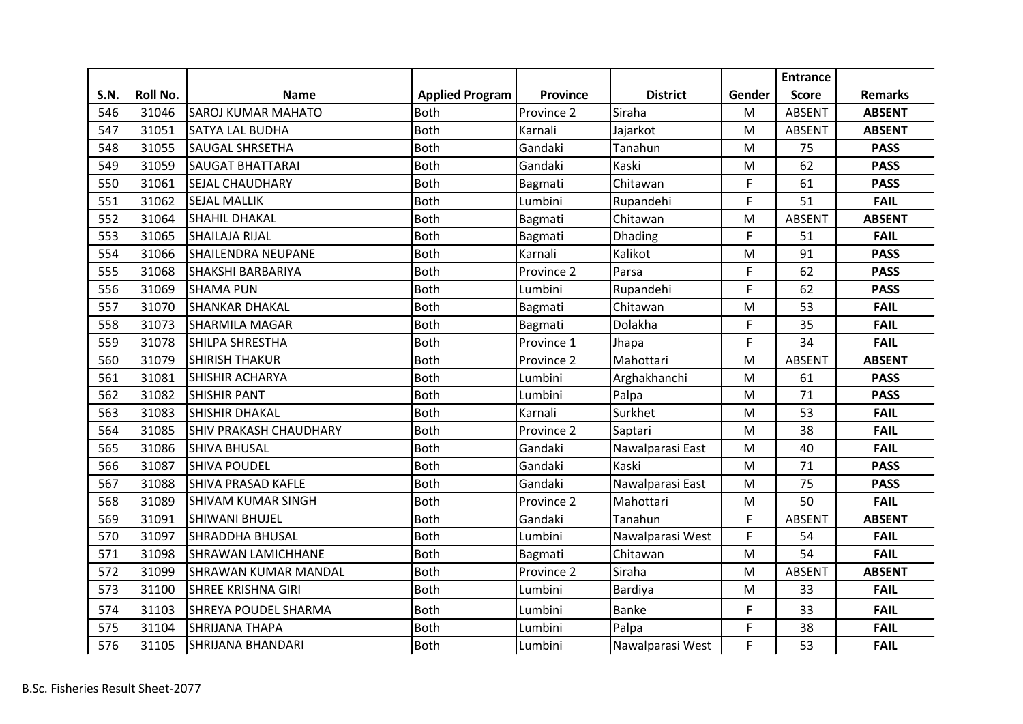|      |          |                               |                        |            |                  |        | <b>Entrance</b> |                |
|------|----------|-------------------------------|------------------------|------------|------------------|--------|-----------------|----------------|
| S.N. | Roll No. | <b>Name</b>                   | <b>Applied Program</b> | Province   | <b>District</b>  | Gender | <b>Score</b>    | <b>Remarks</b> |
| 546  | 31046    | <b>SAROJ KUMAR MAHATO</b>     | <b>Both</b>            | Province 2 | Siraha           | M      | <b>ABSENT</b>   | <b>ABSENT</b>  |
| 547  | 31051    | <b>SATYA LAL BUDHA</b>        | Both                   | Karnali    | Jajarkot         | M      | <b>ABSENT</b>   | <b>ABSENT</b>  |
| 548  | 31055    | <b>SAUGAL SHRSETHA</b>        | <b>Both</b>            | Gandaki    | Tanahun          | M      | 75              | <b>PASS</b>    |
| 549  | 31059    | <b>SAUGAT BHATTARAI</b>       | <b>Both</b>            | Gandaki    | Kaski            | M      | 62              | <b>PASS</b>    |
| 550  | 31061    | <b>SEJAL CHAUDHARY</b>        | <b>Both</b>            | Bagmati    | Chitawan         | F      | 61              | <b>PASS</b>    |
| 551  | 31062    | <b>SEJAL MALLIK</b>           | <b>Both</b>            | Lumbini    | Rupandehi        | F      | 51              | <b>FAIL</b>    |
| 552  | 31064    | <b>SHAHIL DHAKAL</b>          | <b>Both</b>            | Bagmati    | Chitawan         | M      | <b>ABSENT</b>   | <b>ABSENT</b>  |
| 553  | 31065    | <b>SHAILAJA RIJAL</b>         | <b>Both</b>            | Bagmati    | Dhading          | F      | 51              | <b>FAIL</b>    |
| 554  | 31066    | <b>SHAILENDRA NEUPANE</b>     | <b>Both</b>            | Karnali    | Kalikot          | M      | 91              | <b>PASS</b>    |
| 555  | 31068    | <b>SHAKSHI BARBARIYA</b>      | <b>Both</b>            | Province 2 | Parsa            | F      | 62              | <b>PASS</b>    |
| 556  | 31069    | <b>SHAMA PUN</b>              | <b>Both</b>            | Lumbini    | Rupandehi        | F      | 62              | <b>PASS</b>    |
| 557  | 31070    | <b>SHANKAR DHAKAL</b>         | <b>Both</b>            | Bagmati    | Chitawan         | M      | 53              | <b>FAIL</b>    |
| 558  | 31073    | <b>SHARMILA MAGAR</b>         | <b>Both</b>            | Bagmati    | Dolakha          | F      | 35              | <b>FAIL</b>    |
| 559  | 31078    | <b>SHILPA SHRESTHA</b>        | <b>Both</b>            | Province 1 | Jhapa            | F      | 34              | <b>FAIL</b>    |
| 560  | 31079    | <b>SHIRISH THAKUR</b>         | <b>Both</b>            | Province 2 | Mahottari        | M      | <b>ABSENT</b>   | <b>ABSENT</b>  |
| 561  | 31081    | <b>SHISHIR ACHARYA</b>        | <b>Both</b>            | Lumbini    | Arghakhanchi     | M      | 61              | <b>PASS</b>    |
| 562  | 31082    | <b>SHISHIR PANT</b>           | <b>Both</b>            | Lumbini    | Palpa            | M      | 71              | <b>PASS</b>    |
| 563  | 31083    | <b>SHISHIR DHAKAL</b>         | <b>Both</b>            | Karnali    | Surkhet          | M      | 53              | <b>FAIL</b>    |
| 564  | 31085    | <b>SHIV PRAKASH CHAUDHARY</b> | <b>Both</b>            | Province 2 | Saptari          | M      | 38              | <b>FAIL</b>    |
| 565  | 31086    | <b>SHIVA BHUSAL</b>           | <b>Both</b>            | Gandaki    | Nawalparasi East | M      | 40              | <b>FAIL</b>    |
| 566  | 31087    | <b>SHIVA POUDEL</b>           | <b>Both</b>            | Gandaki    | Kaski            | M      | 71              | <b>PASS</b>    |
| 567  | 31088    | <b>SHIVA PRASAD KAFLE</b>     | <b>Both</b>            | Gandaki    | Nawalparasi East | M      | 75              | <b>PASS</b>    |
| 568  | 31089    | <b>SHIVAM KUMAR SINGH</b>     | <b>Both</b>            | Province 2 | Mahottari        | M      | 50              | <b>FAIL</b>    |
| 569  | 31091    | <b>SHIWANI BHUJEL</b>         | <b>Both</b>            | Gandaki    | Tanahun          | F      | <b>ABSENT</b>   | <b>ABSENT</b>  |
| 570  | 31097    | <b>SHRADDHA BHUSAL</b>        | <b>Both</b>            | Lumbini    | Nawalparasi West | F      | 54              | <b>FAIL</b>    |
| 571  | 31098    | <b>SHRAWAN LAMICHHANE</b>     | <b>Both</b>            | Bagmati    | Chitawan         | M      | 54              | <b>FAIL</b>    |
| 572  | 31099    | <b>SHRAWAN KUMAR MANDAL</b>   | <b>Both</b>            | Province 2 | Siraha           | M      | <b>ABSENT</b>   | <b>ABSENT</b>  |
| 573  | 31100    | <b>SHREE KRISHNA GIRI</b>     | <b>Both</b>            | Lumbini    | Bardiya          | M      | 33              | <b>FAIL</b>    |
| 574  | 31103    | SHREYA POUDEL SHARMA          | Both                   | Lumbini    | <b>Banke</b>     | F      | 33              | <b>FAIL</b>    |
| 575  | 31104    | <b>SHRIJANA THAPA</b>         | <b>Both</b>            | Lumbini    | Palpa            | F      | 38              | <b>FAIL</b>    |
| 576  | 31105    | <b>SHRIJANA BHANDARI</b>      | <b>Both</b>            | Lumbini    | Nawalparasi West | F      | 53              | <b>FAIL</b>    |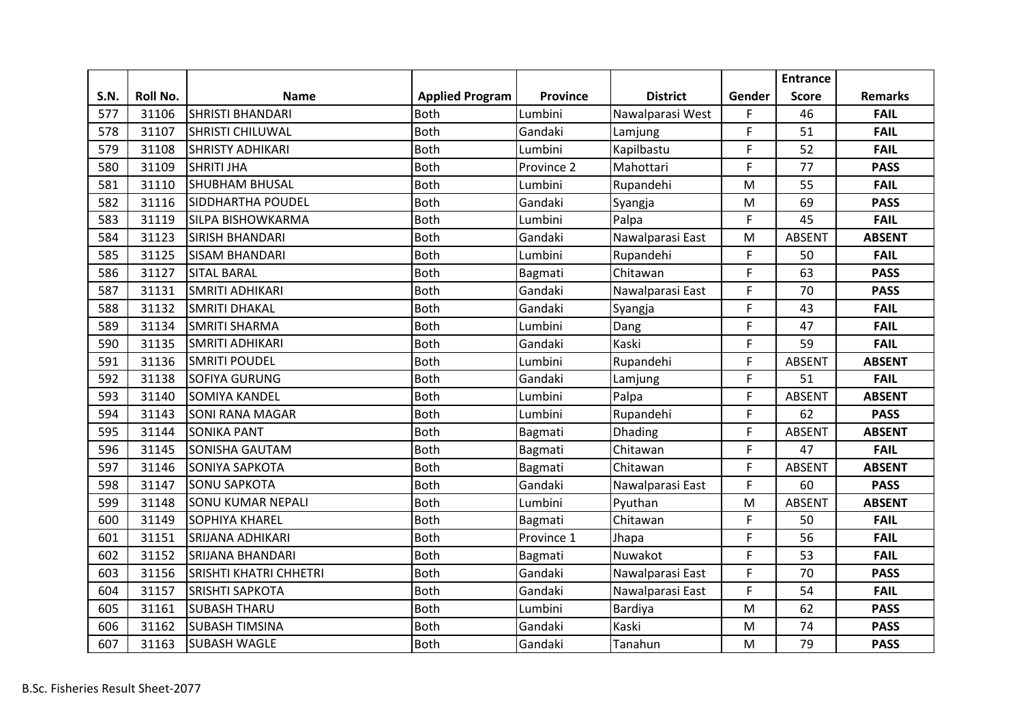|             |          |                               |                        |                 |                  |        | <b>Entrance</b> |                |
|-------------|----------|-------------------------------|------------------------|-----------------|------------------|--------|-----------------|----------------|
| <b>S.N.</b> | Roll No. | <b>Name</b>                   | <b>Applied Program</b> | <b>Province</b> | <b>District</b>  | Gender | <b>Score</b>    | <b>Remarks</b> |
| 577         | 31106    | <b>SHRISTI BHANDARI</b>       | <b>Both</b>            | Lumbini         | Nawalparasi West | F.     | 46              | <b>FAIL</b>    |
| 578         | 31107    | <b>SHRISTI CHILUWAL</b>       | <b>Both</b>            | Gandaki         | Lamjung          | F      | 51              | <b>FAIL</b>    |
| 579         | 31108    | <b>SHRISTY ADHIKARI</b>       | <b>Both</b>            | Lumbini         | Kapilbastu       | F      | 52              | <b>FAIL</b>    |
| 580         | 31109    | <b>SHRITI JHA</b>             | <b>Both</b>            | Province 2      | Mahottari        | F      | 77              | <b>PASS</b>    |
| 581         | 31110    | <b>SHUBHAM BHUSAL</b>         | <b>Both</b>            | Lumbini         | Rupandehi        | M      | 55              | <b>FAIL</b>    |
| 582         | 31116    | SIDDHARTHA POUDEL             | <b>Both</b>            | Gandaki         | Syangja          | M      | 69              | <b>PASS</b>    |
| 583         | 31119    | <b>SILPA BISHOWKARMA</b>      | <b>Both</b>            | Lumbini         | Palpa            | F      | 45              | <b>FAIL</b>    |
| 584         | 31123    | <b>SIRISH BHANDARI</b>        | <b>Both</b>            | Gandaki         | Nawalparasi East | M      | <b>ABSENT</b>   | <b>ABSENT</b>  |
| 585         | 31125    | <b>SISAM BHANDARI</b>         | <b>Both</b>            | Lumbini         | Rupandehi        | F      | 50              | <b>FAIL</b>    |
| 586         | 31127    | <b>SITAL BARAL</b>            | <b>Both</b>            | Bagmati         | Chitawan         | F      | 63              | <b>PASS</b>    |
| 587         | 31131    | <b>SMRITI ADHIKARI</b>        | <b>Both</b>            | Gandaki         | Nawalparasi East | F      | 70              | <b>PASS</b>    |
| 588         | 31132    | <b>SMRITI DHAKAL</b>          | <b>Both</b>            | Gandaki         | Syangja          | F      | 43              | <b>FAIL</b>    |
| 589         | 31134    | <b>SMRITI SHARMA</b>          | <b>Both</b>            | Lumbini         | Dang             | F      | 47              | <b>FAIL</b>    |
| 590         | 31135    | <b>SMRITI ADHIKARI</b>        | <b>Both</b>            | Gandaki         | Kaski            | F      | 59              | <b>FAIL</b>    |
| 591         | 31136    | <b>SMRITI POUDEL</b>          | <b>Both</b>            | Lumbini         | Rupandehi        | F      | <b>ABSENT</b>   | <b>ABSENT</b>  |
| 592         | 31138    | <b>SOFIYA GURUNG</b>          | <b>Both</b>            | Gandaki         | Lamjung          | F      | 51              | <b>FAIL</b>    |
| 593         | 31140    | <b>SOMIYA KANDEL</b>          | Both                   | Lumbini         | Palpa            | F      | <b>ABSENT</b>   | <b>ABSENT</b>  |
| 594         | 31143    | <b>SONI RANA MAGAR</b>        | <b>Both</b>            | Lumbini         | Rupandehi        | F      | 62              | <b>PASS</b>    |
| 595         | 31144    | <b>SONIKA PANT</b>            | <b>Both</b>            | Bagmati         | Dhading          | F      | <b>ABSENT</b>   | <b>ABSENT</b>  |
| 596         | 31145    | <b>SONISHA GAUTAM</b>         | <b>Both</b>            | Bagmati         | Chitawan         | F      | 47              | <b>FAIL</b>    |
| 597         | 31146    | <b>SONIYA SAPKOTA</b>         | <b>Both</b>            | Bagmati         | Chitawan         | F      | <b>ABSENT</b>   | <b>ABSENT</b>  |
| 598         | 31147    | <b>SONU SAPKOTA</b>           | <b>Both</b>            | Gandaki         | Nawalparasi East | F      | 60              | <b>PASS</b>    |
| 599         | 31148    | <b>SONU KUMAR NEPALI</b>      | <b>Both</b>            | Lumbini         | Pyuthan          | M      | <b>ABSENT</b>   | <b>ABSENT</b>  |
| 600         | 31149    | <b>SOPHIYA KHAREL</b>         | <b>Both</b>            | Bagmati         | Chitawan         | F      | 50              | <b>FAIL</b>    |
| 601         | 31151    | <b>SRIJANA ADHIKARI</b>       | Both                   | Province 1      | Jhapa            | F      | 56              | <b>FAIL</b>    |
| 602         | 31152    | <b>SRIJANA BHANDARI</b>       | <b>Both</b>            | Bagmati         | Nuwakot          | F      | 53              | <b>FAIL</b>    |
| 603         | 31156    | <b>SRISHTI KHATRI CHHETRI</b> | <b>Both</b>            | Gandaki         | Nawalparasi East | F      | 70              | <b>PASS</b>    |
| 604         | 31157    | <b>SRISHTI SAPKOTA</b>        | <b>Both</b>            | Gandaki         | Nawalparasi East | F      | 54              | <b>FAIL</b>    |
| 605         | 31161    | <b>SUBASH THARU</b>           | <b>Both</b>            | Lumbini         | Bardiya          | M      | 62              | <b>PASS</b>    |
| 606         | 31162    | <b>SUBASH TIMSINA</b>         | <b>Both</b>            | Gandaki         | Kaski            | M      | 74              | <b>PASS</b>    |
| 607         | 31163    | <b>SUBASH WAGLE</b>           | <b>Both</b>            | Gandaki         | Tanahun          | M      | 79              | <b>PASS</b>    |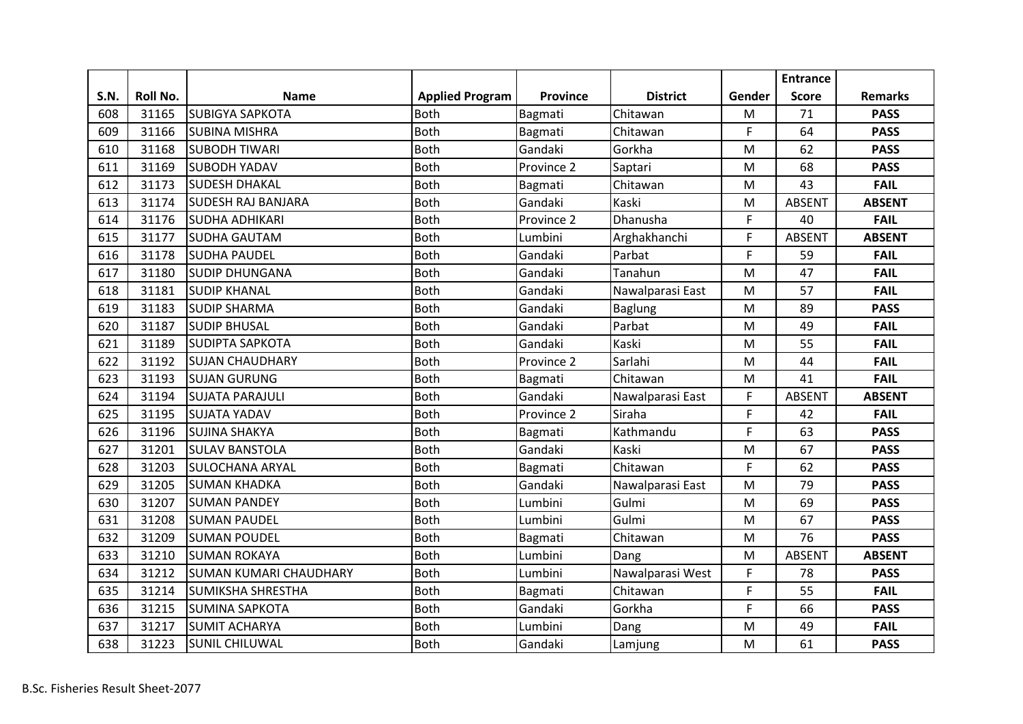|             |          |                               |                        |                 |                  |        | <b>Entrance</b> |                |
|-------------|----------|-------------------------------|------------------------|-----------------|------------------|--------|-----------------|----------------|
| <b>S.N.</b> | Roll No. | <b>Name</b>                   | <b>Applied Program</b> | <b>Province</b> | <b>District</b>  | Gender | <b>Score</b>    | <b>Remarks</b> |
| 608         | 31165    | <b>SUBIGYA SAPKOTA</b>        | <b>Both</b>            | Bagmati         | Chitawan         | M      | 71              | <b>PASS</b>    |
| 609         | 31166    | <b>SUBINA MISHRA</b>          | <b>Both</b>            | Bagmati         | Chitawan         | F      | 64              | <b>PASS</b>    |
| 610         | 31168    | <b>SUBODH TIWARI</b>          | <b>Both</b>            | Gandaki         | Gorkha           | M      | 62              | <b>PASS</b>    |
| 611         | 31169    | <b>SUBODH YADAV</b>           | <b>Both</b>            | Province 2      | Saptari          | M      | 68              | <b>PASS</b>    |
| 612         | 31173    | <b>SUDESH DHAKAL</b>          | <b>Both</b>            | Bagmati         | Chitawan         | M      | 43              | <b>FAIL</b>    |
| 613         | 31174    | <b>SUDESH RAJ BANJARA</b>     | <b>Both</b>            | Gandaki         | Kaski            | M      | <b>ABSENT</b>   | <b>ABSENT</b>  |
| 614         | 31176    | <b>SUDHA ADHIKARI</b>         | <b>Both</b>            | Province 2      | Dhanusha         | F      | 40              | <b>FAIL</b>    |
| 615         | 31177    | <b>SUDHA GAUTAM</b>           | <b>Both</b>            | Lumbini         | Arghakhanchi     | F      | <b>ABSENT</b>   | <b>ABSENT</b>  |
| 616         | 31178    | <b>SUDHA PAUDEL</b>           | <b>Both</b>            | Gandaki         | Parbat           | F      | 59              | <b>FAIL</b>    |
| 617         | 31180    | <b>SUDIP DHUNGANA</b>         | <b>Both</b>            | Gandaki         | Tanahun          | M      | 47              | <b>FAIL</b>    |
| 618         | 31181    | <b>SUDIP KHANAL</b>           | Both                   | Gandaki         | Nawalparasi East | M      | 57              | <b>FAIL</b>    |
| 619         | 31183    | <b>SUDIP SHARMA</b>           | <b>Both</b>            | Gandaki         | <b>Baglung</b>   | M      | 89              | <b>PASS</b>    |
| 620         | 31187    | <b>SUDIP BHUSAL</b>           | <b>Both</b>            | Gandaki         | Parbat           | M      | 49              | <b>FAIL</b>    |
| 621         | 31189    | <b>SUDIPTA SAPKOTA</b>        | <b>Both</b>            | Gandaki         | Kaski            | M      | 55              | <b>FAIL</b>    |
| 622         | 31192    | <b>SUJAN CHAUDHARY</b>        | <b>Both</b>            | Province 2      | Sarlahi          | M      | 44              | <b>FAIL</b>    |
| 623         | 31193    | <b>SUJAN GURUNG</b>           | <b>Both</b>            | Bagmati         | Chitawan         | M      | 41              | <b>FAIL</b>    |
| 624         | 31194    | <b>SUJATA PARAJULI</b>        | <b>Both</b>            | Gandaki         | Nawalparasi East | F      | <b>ABSENT</b>   | <b>ABSENT</b>  |
| 625         | 31195    | <b>SUJATA YADAV</b>           | <b>Both</b>            | Province 2      | Siraha           | F      | 42              | <b>FAIL</b>    |
| 626         | 31196    | <b>SUJINA SHAKYA</b>          | <b>Both</b>            | Bagmati         | Kathmandu        | F      | 63              | <b>PASS</b>    |
| 627         | 31201    | <b>SULAV BANSTOLA</b>         | <b>Both</b>            | Gandaki         | Kaski            | M      | 67              | <b>PASS</b>    |
| 628         | 31203    | <b>SULOCHANA ARYAL</b>        | <b>Both</b>            | Bagmati         | Chitawan         | F      | 62              | <b>PASS</b>    |
| 629         | 31205    | <b>SUMAN KHADKA</b>           | <b>Both</b>            | Gandaki         | Nawalparasi East | M      | 79              | <b>PASS</b>    |
| 630         | 31207    | <b>SUMAN PANDEY</b>           | <b>Both</b>            | Lumbini         | Gulmi            | M      | 69              | <b>PASS</b>    |
| 631         | 31208    | <b>SUMAN PAUDEL</b>           | <b>Both</b>            | Lumbini         | Gulmi            | M      | 67              | <b>PASS</b>    |
| 632         | 31209    | <b>SUMAN POUDEL</b>           | <b>Both</b>            | Bagmati         | Chitawan         | M      | 76              | <b>PASS</b>    |
| 633         | 31210    | <b>SUMAN ROKAYA</b>           | <b>Both</b>            | Lumbini         | Dang             | M      | <b>ABSENT</b>   | <b>ABSENT</b>  |
| 634         | 31212    | <b>SUMAN KUMARI CHAUDHARY</b> | <b>Both</b>            | Lumbini         | Nawalparasi West | F      | 78              | <b>PASS</b>    |
| 635         | 31214    | <b>SUMIKSHA SHRESTHA</b>      | <b>Both</b>            | Bagmati         | Chitawan         | F      | 55              | <b>FAIL</b>    |
| 636         | 31215    | <b>SUMINA SAPKOTA</b>         | <b>Both</b>            | Gandaki         | Gorkha           | F      | 66              | <b>PASS</b>    |
| 637         | 31217    | <b>SUMIT ACHARYA</b>          | <b>Both</b>            | Lumbini         | Dang             | M      | 49              | <b>FAIL</b>    |
| 638         | 31223    | <b>SUNIL CHILUWAL</b>         | <b>Both</b>            | Gandaki         | Lamjung          | M      | 61              | <b>PASS</b>    |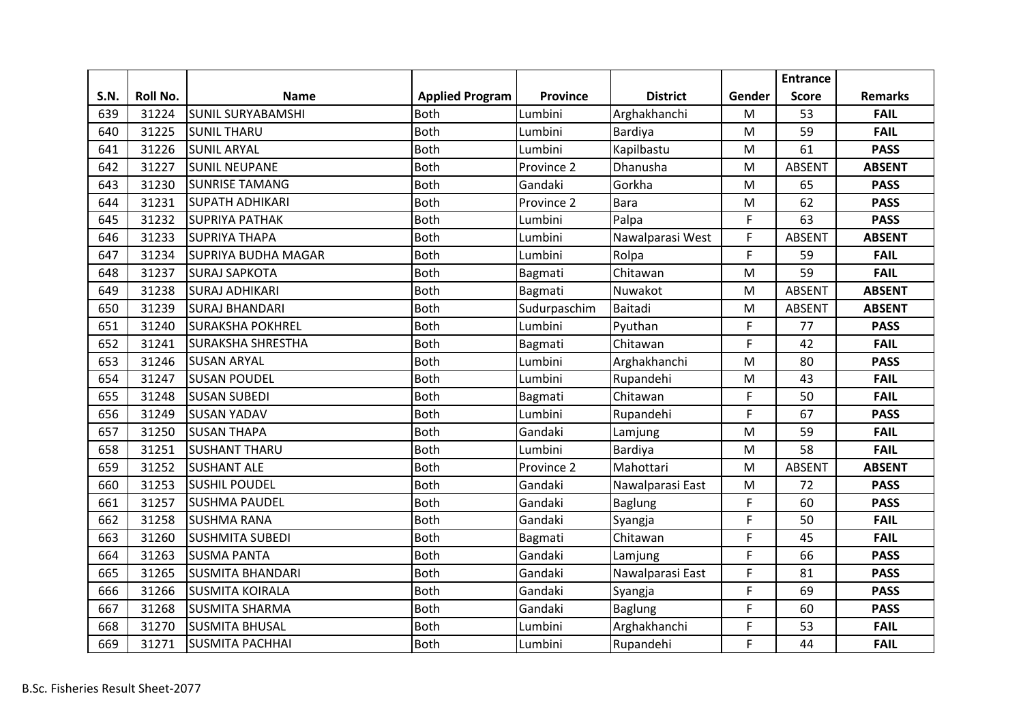|      |          |                            |                        |              |                  |        | <b>Entrance</b> |                |
|------|----------|----------------------------|------------------------|--------------|------------------|--------|-----------------|----------------|
| S.N. | Roll No. | <b>Name</b>                | <b>Applied Program</b> | Province     | <b>District</b>  | Gender | <b>Score</b>    | <b>Remarks</b> |
| 639  | 31224    | <b>SUNIL SURYABAMSHI</b>   | <b>Both</b>            | Lumbini      | Arghakhanchi     | M      | 53              | <b>FAIL</b>    |
| 640  | 31225    | <b>SUNIL THARU</b>         | <b>Both</b>            | Lumbini      | Bardiya          | M      | 59              | <b>FAIL</b>    |
| 641  | 31226    | <b>SUNIL ARYAL</b>         | Both                   | Lumbini      | Kapilbastu       | M      | 61              | <b>PASS</b>    |
| 642  | 31227    | <b>SUNIL NEUPANE</b>       | <b>Both</b>            | Province 2   | Dhanusha         | M      | <b>ABSENT</b>   | <b>ABSENT</b>  |
| 643  | 31230    | <b>SUNRISE TAMANG</b>      | <b>Both</b>            | Gandaki      | Gorkha           | M      | 65              | <b>PASS</b>    |
| 644  | 31231    | <b>SUPATH ADHIKARI</b>     | <b>Both</b>            | Province 2   | <b>Bara</b>      | M      | 62              | <b>PASS</b>    |
| 645  | 31232    | <b>SUPRIYA PATHAK</b>      | <b>Both</b>            | Lumbini      | Palpa            | F      | 63              | <b>PASS</b>    |
| 646  | 31233    | <b>SUPRIYA THAPA</b>       | <b>Both</b>            | Lumbini      | Nawalparasi West | F      | <b>ABSENT</b>   | <b>ABSENT</b>  |
| 647  | 31234    | <b>SUPRIYA BUDHA MAGAR</b> | <b>Both</b>            | Lumbini      | Rolpa            | F      | 59              | <b>FAIL</b>    |
| 648  | 31237    | <b>SURAJ SAPKOTA</b>       | <b>Both</b>            | Bagmati      | Chitawan         | M      | 59              | <b>FAIL</b>    |
| 649  | 31238    | <b>SURAJ ADHIKARI</b>      | <b>Both</b>            | Bagmati      | Nuwakot          | M      | <b>ABSENT</b>   | <b>ABSENT</b>  |
| 650  | 31239    | <b>SURAJ BHANDARI</b>      | <b>Both</b>            | Sudurpaschim | Baitadi          | M      | <b>ABSENT</b>   | <b>ABSENT</b>  |
| 651  | 31240    | <b>SURAKSHA POKHREL</b>    | <b>Both</b>            | Lumbini      | Pyuthan          | F      | 77              | <b>PASS</b>    |
| 652  | 31241    | <b>SURAKSHA SHRESTHA</b>   | <b>Both</b>            | Bagmati      | Chitawan         | F.     | 42              | <b>FAIL</b>    |
| 653  | 31246    | <b>SUSAN ARYAL</b>         | <b>Both</b>            | Lumbini      | Arghakhanchi     | M      | 80              | <b>PASS</b>    |
| 654  | 31247    | <b>SUSAN POUDEL</b>        | <b>Both</b>            | Lumbini      | Rupandehi        | M      | 43              | <b>FAIL</b>    |
| 655  | 31248    | <b>SUSAN SUBEDI</b>        | <b>Both</b>            | Bagmati      | Chitawan         | F      | 50              | <b>FAIL</b>    |
| 656  | 31249    | <b>SUSAN YADAV</b>         | <b>Both</b>            | Lumbini      | Rupandehi        | F      | 67              | <b>PASS</b>    |
| 657  | 31250    | <b>SUSAN THAPA</b>         | Both                   | Gandaki      | Lamjung          | M      | 59              | <b>FAIL</b>    |
| 658  | 31251    | <b>SUSHANT THARU</b>       | <b>Both</b>            | Lumbini      | Bardiya          | M      | 58              | <b>FAIL</b>    |
| 659  | 31252    | <b>SUSHANT ALE</b>         | <b>Both</b>            | Province 2   | Mahottari        | M      | <b>ABSENT</b>   | <b>ABSENT</b>  |
| 660  | 31253    | <b>SUSHIL POUDEL</b>       | <b>Both</b>            | Gandaki      | Nawalparasi East | M      | 72              | <b>PASS</b>    |
| 661  | 31257    | <b>SUSHMA PAUDEL</b>       | <b>Both</b>            | Gandaki      | <b>Baglung</b>   | F      | 60              | <b>PASS</b>    |
| 662  | 31258    | <b>SUSHMA RANA</b>         | <b>Both</b>            | Gandaki      | Syangja          | F      | 50              | <b>FAIL</b>    |
| 663  | 31260    | <b>SUSHMITA SUBEDI</b>     | Both                   | Bagmati      | Chitawan         | F      | 45              | <b>FAIL</b>    |
| 664  | 31263    | <b>SUSMA PANTA</b>         | <b>Both</b>            | Gandaki      | Lamjung          | F      | 66              | <b>PASS</b>    |
| 665  | 31265    | <b>SUSMITA BHANDARI</b>    | <b>Both</b>            | Gandaki      | Nawalparasi East | F      | 81              | <b>PASS</b>    |
| 666  | 31266    | <b>SUSMITA KOIRALA</b>     | <b>Both</b>            | Gandaki      | Syangja          | F      | 69              | <b>PASS</b>    |
| 667  | 31268    | <b>SUSMITA SHARMA</b>      | <b>Both</b>            | Gandaki      | <b>Baglung</b>   | F      | 60              | <b>PASS</b>    |
| 668  | 31270    | <b>SUSMITA BHUSAL</b>      | <b>Both</b>            | Lumbini      | Arghakhanchi     | F      | 53              | <b>FAIL</b>    |
| 669  | 31271    | <b>SUSMITA PACHHAI</b>     | <b>Both</b>            | Lumbini      | Rupandehi        | F      | 44              | <b>FAIL</b>    |